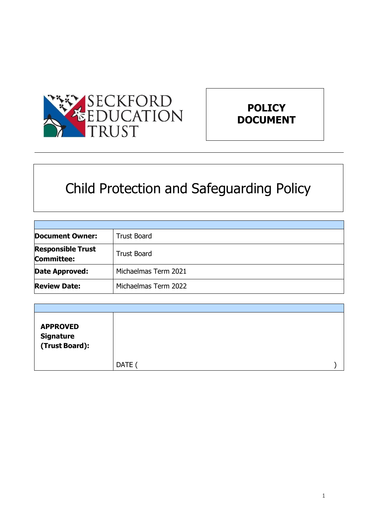



# Child Protection and Safeguarding Policy

| <b>Document Owner:</b>                        | <b>Trust Board</b>   |
|-----------------------------------------------|----------------------|
| <b>Responsible Trust</b><br><b>Committee:</b> | <b>Trust Board</b>   |
| Date Approved:                                | Michaelmas Term 2021 |
| <b>Review Date:</b>                           | Michaelmas Term 2022 |

| <b>APPROVED</b><br>Signature<br>(Trust Board): |             |  |
|------------------------------------------------|-------------|--|
|                                                | <b>DATE</b> |  |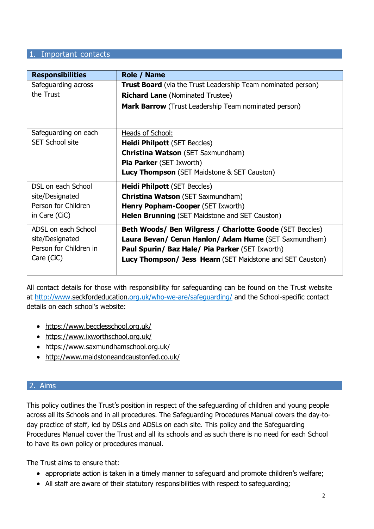#### 1. Important contacts

| <b>Responsibilities</b> | <b>Role / Name</b>                                                  |
|-------------------------|---------------------------------------------------------------------|
| Safeguarding across     | <b>Trust Board</b> (via the Trust Leadership Team nominated person) |
| the Trust               | <b>Richard Lane (Nominated Trustee)</b>                             |
|                         | <b>Mark Barrow</b> (Trust Leadership Team nominated person)         |
|                         |                                                                     |
| Safeguarding on each    | Heads of School:                                                    |
| <b>SET School site</b>  | <b>Heidi Philpott (SET Beccles)</b>                                 |
|                         | <b>Christina Watson (SET Saxmundham)</b>                            |
|                         | <b>Pia Parker (SET Ixworth)</b>                                     |
|                         | <b>Lucy Thompson</b> (SET Maidstone & SET Causton)                  |
| DSL on each School      | <b>Heidi Philpott (SET Beccles)</b>                                 |
| site/Designated         | <b>Christina Watson</b> (SET Saxmundham)                            |
| Person for Children     | <b>Henry Popham-Cooper (SET Ixworth)</b>                            |
| in Care (CiC)           | Helen Brunning (SET Maidstone and SET Causton)                      |
| ADSL on each School     | <b>Beth Woods/ Ben Wilgress / Charlotte Goode (SET Beccles)</b>     |
| site/Designated         | Laura Bevan/ Cerun Hanlon/ Adam Hume (SET Saxmundham)               |
| Person for Children in  | <b>Paul Spurin/ Baz Hale/ Pia Parker (SET Ixworth)</b>              |
| Care (CiC)              | <b>Lucy Thompson/ Jess Hearn</b> (SET Maidstone and SET Causton)    |
|                         |                                                                     |

All contact details for those with responsibility for safeguarding can be found on the Trust website at <http://www.seckfordeducation.org.uk/who-we-are/safeguarding/> and the School-specific contact details on each school's website:

- <https://www.becclesschool.org.uk/>
- <https://www.ixworthschool.org.uk/>
- <https://www.saxmundhamschool.org.uk/>
- <http://www.maidstoneandcaustonfed.co.uk/>

## 2. Aims

This policy outlines the Trust's position in respect of the safeguarding of children and young people across all its Schools and in all procedures. The Safeguarding Procedures Manual covers the day-today practice of staff, led by DSLs and ADSLs on each site. This policy and the Safeguarding Procedures Manual cover the Trust and all its schools and as such there is no need for each School to have its own policy or procedures manual.

The Trust aims to ensure that:

- appropriate action is taken in a timely manner to safeguard and promote children's welfare;
- All staff are aware of their statutory responsibilities with respect to safeguarding;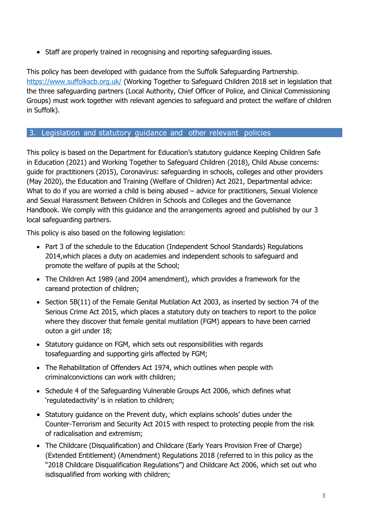• Staff are properly trained in recognising and reporting safeguarding issues.

This policy has been developed with guidance from the Suffolk Safeguarding Partnership. <https://www.suffolkscb.org.uk/> (Working Together to Safeguard Children 2018 set in legislation that the three safeguarding partners (Local Authority, Chief Officer of Police, and Clinical Commissioning Groups) must work together with relevant agencies to safeguard and protect the welfare of children in Suffolk).

## 3. Legislation and statutory guidance and other relevant policies

This policy is based on the Department for Education's statutory guidance [Keeping Children Safe](https://www.gov.uk/government/publications/keeping-children-safe-in-education--2) [in Education \(2021\) a](https://www.gov.uk/government/publications/keeping-children-safe-in-education--2)nd [Working Together to Safeguard Children \(2018\),](https://www.gov.uk/government/publications/working-together-to-safeguard-children--2) Child Abuse concerns: guide for practitioners (2015), Coronavirus: safeguarding in schools, colleges and other providers (May 2020), the Education and Training (Welfare of Children) Act 2021, Departmental advice: What to do if you are worried a child is being abused – advice for practitioners, Sexual Violence and Sexual Harassment Between Children in Schools and Colleges and the [Governance](https://www.gov.uk/government/publications/governance-handbook)  [Handbook.](https://www.gov.uk/government/publications/governance-handbook) We comply with this guidance and the arrangements agreed and published by our 3 local safeguarding partners.

This policy is also based on the following legislation:

- Part 3 of the schedule to the Education (Independent School Standards) Regulations [2014,](http://www.legislation.gov.uk/uksi/2014/3283/schedule/part/3/made)which places a duty on academies and independent schools to safeguard and promote the welfare of pupils at the School;
- [The Children Act 1989 \(](http://www.legislation.gov.uk/ukpga/1989/41)and [2004 amendment\)](http://www.legislation.gov.uk/ukpga/2004/31/contents), which provides a framework for the careand protection of children;
- Section 5B(11) of the Female Genital Mutilation Act 2003, as inserted by section 74 of the [Serious Crime Act 2015,](http://www.legislation.gov.uk/ukpga/2015/9/part/5/crossheading/female-genital-mutilation) which places a statutory duty on teachers to report to the police where they discover that female genital mutilation (FGM) appears to have been carried outon a girl under 18;
- [Statutory guidance on FGM,](https://www.gov.uk/government/publications/multi-agency-statutory-guidance-on-female-genital-mutilation) which sets out responsibilities with regards tosafeguarding and supporting girls affected by FGM;
- [The Rehabilitation of Offenders Act 1974,](http://www.legislation.gov.uk/ukpga/1974/53) which outlines when people with criminalconvictions can work with children;
- Schedule 4 of the [Safeguarding Vulnerable Groups Act 2006,](http://www.legislation.gov.uk/ukpga/2006/47/schedule/4) which defines what 'regulatedactivity' is in relation to children;
- [Statutory guidance on the Prevent duty](https://www.gov.uk/government/publications/prevent-duty-guidance), which explains schools' duties under the Counter-Terrorism and Security Act 2015 with respect to protecting people from the risk of radicalisation and extremism;
- [The Childcare \(Disqualification\) and Childcare \(Early Years Provision Free of Charge\)](http://www.legislation.gov.uk/uksi/2018/794/contents/made) [\(Extended Entitlement\) \(Amendment\) Regulations 2018 \(](http://www.legislation.gov.uk/uksi/2018/794/contents/made)referred to in this policy as the "2018 Childcare Disqualification Regulations") and [Childcare Act 2006,](http://www.legislation.gov.uk/ukpga/2006/21/contents) which set out who isdisqualified from working with children;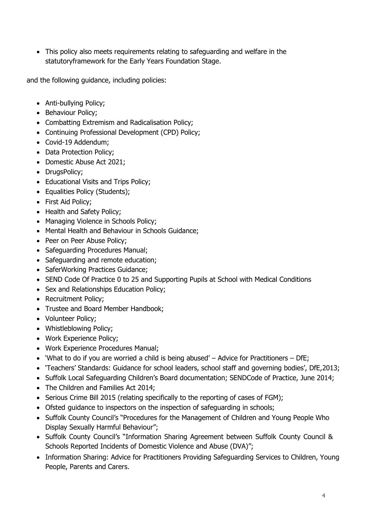This policy also meets requirements relating to safeguarding and welfare in the [statutoryf](https://www.gov.uk/government/publications/early-years-foundation-stage-framework--2)ramework for the Early Years [Foundation Stage.](https://www.gov.uk/government/publications/early-years-foundation-stage-framework--2)

and the following guidance, including policies:

- Anti-bullving Policy:
- Behaviour Policy;
- Combatting Extremism and Radicalisation Policy;
- Continuing Professional Development (CPD) Policy;
- Covid-19 Addendum;
- Data Protection Policy;
- Domestic Abuse Act 2021;
- DrugsPolicy;
- Educational Visits and Trips Policy;
- Equalities Policy (Students);
- First Aid Policy;
- Health and Safety Policy;
- Managing Violence in Schools Policy;
- Mental Health and Behaviour in Schools Guidance;
- Peer on Peer Abuse Policy;
- Safeguarding Procedures Manual;
- Safeguarding and remote education;
- SaferWorking Practices Guidance;
- SEND Code Of Practice 0 to 25 and Supporting Pupils at School with Medical Conditions
- Sex and Relationships Education Policy;
- Recruitment Policy;
- Trustee and Board Member Handbook;
- Volunteer Policy;
- Whistleblowing Policy;
- Work Experience Policy;
- Work Experience Procedures Manual;
- 'What to do if you are worried a child is being abused' Advice for Practitioners DfE;
- 'Teachers' Standards: Guidance for school leaders, school staff and governing bodies', DfE,2013;
- Suffolk Local Safeguarding Children's Board documentation; SENDCode of Practice, June 2014;
- The Children and Families Act 2014;
- Serious Crime Bill 2015 (relating specifically to the reporting of cases of FGM);
- Ofsted guidance to inspectors on the inspection of safeguarding in schools;
- Suffolk County Council's "Procedures for the Management of Children and Young People Who Display Sexually Harmful Behaviour";
- Suffolk County Council's "Information Sharing Agreement between Suffolk County Council & Schools Reported Incidents of Domestic Violence and Abuse (DVA)";
- Information Sharing: Advice for Practitioners Providing Safeguarding Services to Children, Young People, Parents and Carers.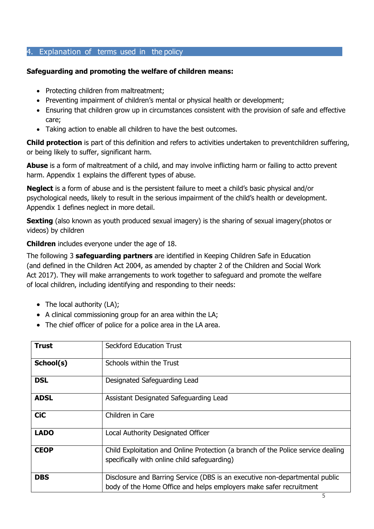## 4. Explanation of terms used in the policy

## **Safeguarding and promoting the welfare of children means:**

- Protecting children from maltreatment;
- Preventing impairment of children's mental or physical health or development;
- Ensuring that children grow up in circumstances consistent with the provision of safe and effective care;
- Taking action to enable all children to have the best outcomes.

**Child protection** is part of this definition and refers to activities undertaken to preventchildren suffering, or being likely to suffer, significant harm.

**Abuse** is a form of maltreatment of a child, and may involve inflicting harm or failing to actto prevent harm. Appendix 1 explains the different types of abuse.

**Neglect** is a form of abuse and is the persistent failure to meet a child's basic physical and/or psychological needs, likely to result in the serious impairment of the child's health or development. Appendix 1 defines neglect in more detail.

**Sexting** (also known as youth produced sexual imagery) is the sharing of sexual imagery(photos or videos) by children

**Children** includes everyone under the age of 18.

The following 3 **safeguarding partners** are identified in Keeping Children Safe in Education (and defined in the Children Act 2004, as amended by chapter 2 of the Children and Social Work Act 2017). They will make arrangements to work together to safeguard and promote the welfare of local children, including identifying and responding to their needs:

- The local authority (LA);
- A clinical commissioning group for an area within the LA;
- The chief officer of police for a police area in the LA area.

| <b>Trust</b> | <b>Seckford Education Trust</b>                                                                                                                   |
|--------------|---------------------------------------------------------------------------------------------------------------------------------------------------|
| School(s)    | Schools within the Trust                                                                                                                          |
| <b>DSL</b>   | Designated Safeguarding Lead                                                                                                                      |
| <b>ADSL</b>  | Assistant Designated Safeguarding Lead                                                                                                            |
| <b>CiC</b>   | Children in Care                                                                                                                                  |
| <b>LADO</b>  | Local Authority Designated Officer                                                                                                                |
| <b>CEOP</b>  | Child Exploitation and Online Protection (a branch of the Police service dealing<br>specifically with online child safeguarding)                  |
| <b>DBS</b>   | Disclosure and Barring Service (DBS is an executive non-departmental public<br>body of the Home Office and helps employers make safer recruitment |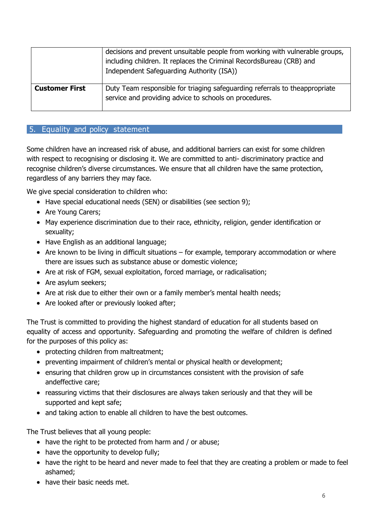|                       | decisions and prevent unsuitable people from working with vulnerable groups,<br>including children. It replaces the Criminal RecordsBureau (CRB) and<br>Independent Safeguarding Authority (ISA)) |
|-----------------------|---------------------------------------------------------------------------------------------------------------------------------------------------------------------------------------------------|
| <b>Customer First</b> | Duty Team responsible for triaging safeguarding referrals to theappropriate<br>service and providing advice to schools on procedures.                                                             |

## 5. Equality and policy statement

Some children have an increased risk of abuse, and additional barriers can exist for some children with respect to recognising or disclosing it. We are committed to anti- discriminatory practice and recognise children's diverse circumstances. We ensure that all children have the same protection, regardless of any barriers they may face.

We give special consideration to children who:

- Have special educational needs (SEN) or disabilities (see section 9);
- Are Young Carers;
- May experience discrimination due to their race, ethnicity, religion, gender identification or sexuality;
- Have English as an additional language;
- Are known to be living in difficult situations for example, temporary accommodation or where there are issues such as substance abuse or domestic violence;
- Are at risk of FGM, sexual exploitation, forced marriage, or radicalisation;
- Are asylum seekers;
- Are at risk due to either their own or a family member's mental health needs;
- Are looked after or previously looked after;

The Trust is committed to providing the highest standard of education for all students based on equality of access and opportunity. Safeguarding and promoting the welfare of children is defined for the purposes of this policy as:

- protecting children from maltreatment;
- preventing impairment of children's mental or physical health or development;
- ensuring that children grow up in circumstances consistent with the provision of safe andeffective care;
- reassuring victims that their disclosures are always taken seriously and that they will be supported and kept safe;
- and taking action to enable all children to have the best outcomes.

The Trust believes that all young people:

- have the right to be protected from harm and / or abuse;
- have the opportunity to develop fully;
- have the right to be heard and never made to feel that they are creating a problem or made to feel ashamed;
- have their basic needs met.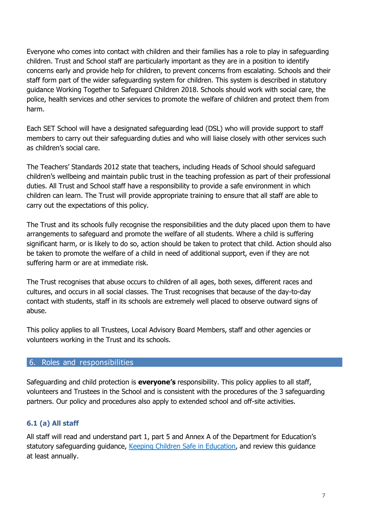Everyone who comes into contact with children and their families has a role to play in safeguarding children. Trust and School staff are particularly important as they are in a position to identify concerns early and provide help for children, to prevent concerns from escalating. Schools and their staff form part of the wider safeguarding system for children. This system is described in statutory guidance Working Together to Safeguard Children 2018. Schools should work with social care, the police, health services and other services to promote the welfare of children and protect them from harm.

Each SET School will have a designated safeguarding lead (DSL) who will provide support to staff members to carry out their safeguarding duties and who will liaise closely with other services such as children's social care.

The Teachers' Standards 2012 state that teachers, including Heads of School should safeguard children's wellbeing and maintain public trust in the teaching profession as part of their professional duties. All Trust and School staff have a responsibility to provide a safe environment in which children can learn. The Trust will provide appropriate training to ensure that all staff are able to carry out the expectations of this policy.

The Trust and its schools fully recognise the responsibilities and the duty placed upon them to have arrangements to safeguard and promote the welfare of all students. Where a child is suffering significant harm, or is likely to do so, action should be taken to protect that child. Action should also be taken to promote the welfare of a child in need of additional support, even if they are not suffering harm or are at immediate risk.

The Trust recognises that abuse occurs to children of all ages, both sexes, different races and cultures, and occurs in all social classes. The Trust recognises that because of the day-to-day contact with students, staff in its schools are extremely well placed to observe outward signs of abuse.

This policy applies to all Trustees, Local Advisory Board Members, staff and other agencies or volunteers working in the Trust and its schools.

## 6. Roles and responsibilities

Safeguarding and child protection is **everyone's** responsibility. This policy applies to all staff, volunteers and Trustees in the School and is consistent with the procedures of the 3 safeguarding partners. Our policy and procedures also apply to extended school and off-site activities.

## **6.1 (a) All staff**

All staff will read and understand part 1, part 5 and Annex A of the Department for Education's statutory safeguarding guidance, [Keeping Children Safe in Education,](https://www.gov.uk/government/publications/keeping-children-safe-in-education--2) and review this guidance at least annually.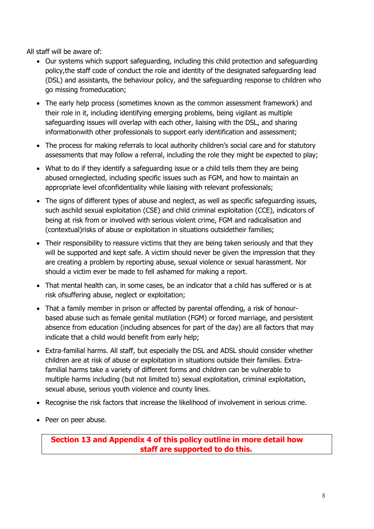All staff will be aware of:

- Our systems which support safeguarding, including this child protection and safeguarding policy,the staff code of conduct the role and identity of the designated safeguarding lead (DSL) and assistants, the behaviour policy, and the safeguarding response to children who go missing fromeducation;
- The early help process (sometimes known as the common assessment framework) and their role in it, including identifying emerging problems, being vigilant as multiple safeguarding issues will overlap with each other, liaising with the DSL, and sharing informationwith other professionals to support early identification and assessment;
- The process for making referrals to local authority children's social care and for statutory assessments that may follow a referral, including the role they might be expected to play;
- What to do if they identify a safeguarding issue or a child tells them they are being abused orneglected, including specific issues such as FGM, and how to maintain an appropriate level ofconfidentiality while liaising with relevant professionals;
- The signs of different types of abuse and neglect, as well as specific safeguarding issues, such aschild sexual exploitation (CSE) and child criminal exploitation (CCE), indicators of being at risk from or involved with serious violent crime, FGM and radicalisation and (contextual)risks of abuse or exploitation in situations outsidetheir families;
- Their responsibility to reassure victims that they are being taken seriously and that they will be supported and kept safe. A victim should never be given the impression that they are creating a problem by reporting abuse, sexual violence or sexual harassment. Nor should a victim ever be made to fell ashamed for making a report.
- That mental health can, in some cases, be an indicator that a child has suffered or is at risk ofsuffering abuse, neglect or exploitation;
- That a family member in prison or affected by parental offending, a risk of honourbased abuse such as female genital mutilation (FGM) or forced marriage, and persistent absence from education (including absences for part of the day) are all factors that may indicate that a child would benefit from early help;
- Extra-familial harms. All staff, but especially the DSL and ADSL should consider whether children are at risk of abuse or exploitation in situations outside their families. Extrafamilial harms take a variety of different forms and children can be vulnerable to multiple harms including (but not limited to) sexual exploitation, criminal exploitation, sexual abuse, serious youth violence and county lines.
- Recognise the risk factors that increase the likelihood of involvement in serious crime.
- Peer on peer abuse.

**Section 13 and Appendix 4 of this policy outline in more detail how staff are supported to do this.**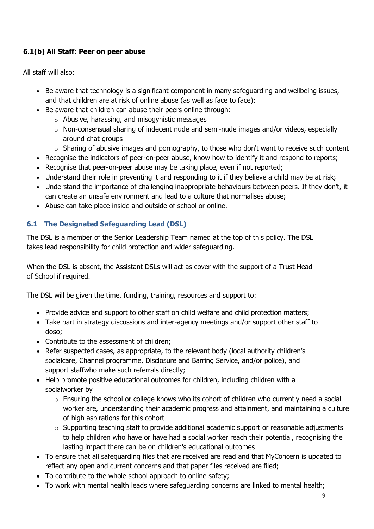# **6.1(b) All Staff: Peer on peer abuse**

All staff will also:

- Be aware that technology is a significant component in many safeguarding and wellbeing issues, and that children are at risk of online abuse (as well as face to face);
- Be aware that children can abuse their peers online through:
	- o Abusive, harassing, and misogynistic messages
	- $\circ$  Non-consensual sharing of indecent nude and semi-nude images and/or videos, especially around chat groups
	- $\circ$  Sharing of abusive images and pornography, to those who don't want to receive such content
- Recognise the indicators of peer-on-peer abuse, know how to identify it and respond to reports;
- Recognise that peer-on-peer abuse may be taking place, even if not reported;
- Understand their role in preventing it and responding to it if they believe a child may be at risk;
- Understand the importance of challenging inappropriate behaviours between peers. If they don't, it can create an unsafe environment and lead to a culture that normalises abuse;
- Abuse can take place inside and outside of school or online.

# **6.1 The Designated Safeguarding Lead (DSL)**

The DSL is a member of the Senior Leadership Team named at the top of this policy. The DSL takes lead responsibility for child protection and wider safeguarding.

When the DSL is absent, the Assistant DSLs will act as cover with the support of a Trust Head of School if required.

The DSL will be given the time, funding, training, resources and support to:

- Provide advice and support to other staff on child welfare and child protection matters;
- Take part in strategy discussions and inter-agency meetings and/or support other staff to doso;
- Contribute to the assessment of children;
- Refer suspected cases, as appropriate, to the relevant body (local authority children's socialcare, Channel programme, Disclosure and Barring Service, and/or police), and support staffwho make such referrals directly;
- Help promote positive educational outcomes for children, including children with a socialworker by
	- o Ensuring the school or college knows who its cohort of children who currently need a social worker are, understanding their academic progress and attainment, and maintaining a culture of high aspirations for this cohort
	- o Supporting teaching staff to provide additional academic support or reasonable adjustments to help children who have or have had a social worker reach their potential, recognising the lasting impact there can be on children's educational outcomes
- To ensure that all safeguarding files that are received are read and that MyConcern is updated to reflect any open and current concerns and that paper files received are filed;
- To contribute to the whole school approach to online safety;
- To work with mental health leads where safeguarding concerns are linked to mental health;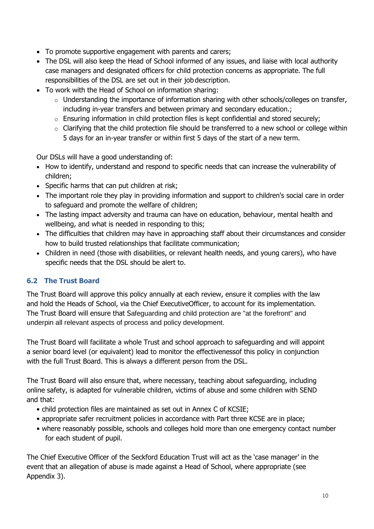- To promote supportive engagement with parents and carers;
- The DSL will also keep the Head of School informed of any issues, and liaise with local authority case managers and designated officers for child protection concerns as appropriate. The full responsibilities of the DSL are set out in their job description.
- To work with the Head of School on information sharing:
	- $\circ$  Understanding the importance of information sharing with other schools/colleges on transfer, including in-year transfers and between primary and secondary education.;
	- o Ensuring information in child protection files is kept confidential and stored securely;
	- $\circ$  Clarifying that the child protection file should be transferred to a new school or college within 5 days for an in-year transfer or within first 5 days of the start of a new term.

Our DSLs will have a good understanding of:

- How to identify, understand and respond to specific needs that can increase the vulnerability of children;
- Specific harms that can put children at risk;
- The important role they play in providing information and support to children's social care in order to safeguard and promote the welfare of children;
- The lasting impact adversity and trauma can have on education, behaviour, mental health and wellbeing, and what is needed in responding to this;
- The difficulties that children may have in approaching staff about their circumstances and consider how to build trusted relationships that facilitate communication;
- Children in need (those with disabilities, or relevant health needs, and young carers), who have specific needs that the DSL should be alert to.

## **6.2 The Trust Board**

The Trust Board will approve this policy annually at each review, ensure it complies with the law and hold the Heads of School, via the Chief ExecutiveOfficer, to account for its implementation. The Trust Board will ensure that Safeguarding and child protection are "at the forefront" and underpin all relevant aspects of process and policy development.

The Trust Board will facilitate a whole Trust and school approach to safeguarding and will appoint a senior board level (or equivalent) lead to monitor the effectivenessof this policy in conjunction with the full Trust Board. This is always a different person from the DSL.

The Trust Board will also ensure that, where necessary, teaching about safeguarding, including online safety, is adapted for vulnerable children, victims of abuse and some children with SEND and that:

- child protection files are maintained as set out in Annex C of KCSIE;
- appropriate safer recruitment policies in accordance with Part three KCSE are in place;
- where reasonably possible, schools and colleges hold more than one emergency contact number for each student of pupil.

The Chief Executive Officer of the Seckford Education Trust will act as the 'case manager' in the event that an allegation of abuse is made against a Head of School, where appropriate (see Appendix 3).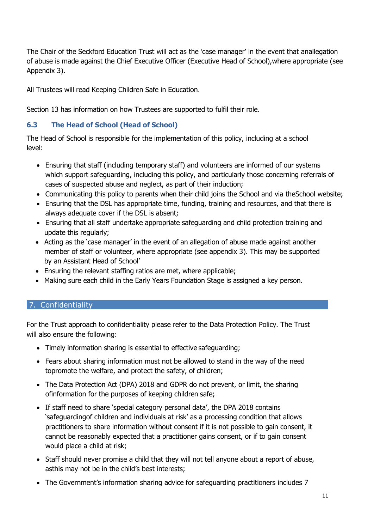The Chair of the Seckford Education Trust will act as the 'case manager' in the event that anallegation of abuse is made against the Chief Executive Officer (Executive Head of School),where appropriate (see Appendix 3).

All Trustees will read Keeping Children Safe in Education.

Section 13 has information on how Trustees are supported to fulfil their role.

# **6.3 The Head of School (Head of School)**

The Head of School is responsible for the implementation of this policy, including at a school level:

- Ensuring that staff (including temporary staff) and volunteers are informed of our systems which support safeguarding, including this policy, and particularly those concerning referrals of cases of suspected abuse and neglect, as part of their induction;
- Communicating this policy to parents when their child joins the School and via theSchool website;
- Ensuring that the DSL has appropriate time, funding, training and resources, and that there is always adequate cover if the DSL is absent;
- Ensuring that all staff undertake appropriate safeguarding and child protection training and update this regularly;
- Acting as the 'case manager' in the event of an allegation of abuse made against another member of staff or volunteer, where appropriate (see appendix 3). This may be supported by an Assistant Head of School'
- Ensuring the relevant staffing ratios are met, where applicable;
- Making sure each child in the Early Years Foundation Stage is assigned a key person.

# 7. Confidentiality

For the Trust approach to confidentiality please refer to the Data Protection Policy. The Trust will also ensure the following:

- Timely information sharing is essential to effective safeguarding;
- Fears about sharing information must not be allowed to stand in the way of the need topromote the welfare, and protect the safety, of children;
- The Data Protection Act (DPA) 2018 and GDPR do not prevent, or limit, the sharing ofinformation for the purposes of keeping children safe;
- If staff need to share 'special category personal data', the DPA 2018 contains 'safeguardingof children and individuals at risk' as a processing condition that allows practitioners to share information without consent if it is not possible to gain consent, it cannot be reasonably expected that a practitioner gains consent, or if to gain consent would place a child at risk;
- Staff should never promise a child that they will not tell anyone about a report of abuse, asthis may not be in the child's best interests;
- The Government'[s information sharing advice for safeguarding practitioners i](https://www.gov.uk/government/publications/safeguarding-practitioners-information-sharing-advice)ncludes 7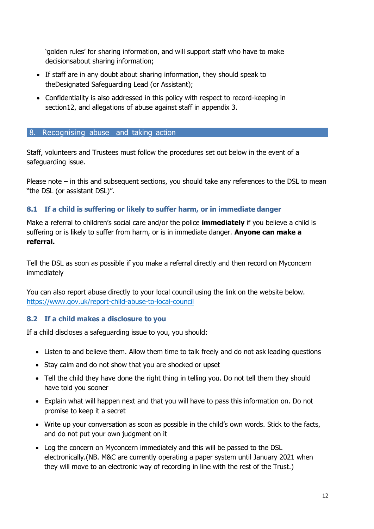'golden rules' for sharing information, and will support staff who have to make decisionsabout sharing information;

- If staff are in any doubt about sharing information, they should speak to theDesignated Safeguarding Lead (or Assistant);
- Confidentiality is also addressed in this policy with respect to record-keeping in section12, and allegations of abuse against staff in appendix 3.

#### 8. Recognising abuse and taking action

Staff, volunteers and Trustees must follow the procedures set out below in the event of a safeguarding issue.

Please note – in this and subsequent sections, you should take any references to the DSL to mean "the DSL (or assistant DSL)".

## **8.1 If a child is suffering or likely to suffer harm, or in immediate danger**

Make a referral to children's social care and/or the police **immediately** if you believe a child is suffering or is likely to suffer from harm, or is in immediate danger. **Anyone can make a referral.**

Tell the DSL as soon as possible if you make a referral directly and then record on Myconcern immediately

You can also report abuse directly to your local council using the link on the website below. <https://www.gov.uk/report-child-abuse-to-local-council>

## **8.2 If a child makes a disclosure to you**

If a child discloses a safeguarding issue to you, you should:

- Listen to and believe them. Allow them time to talk freely and do not ask leading questions
- Stay calm and do not show that you are shocked or upset
- Tell the child they have done the right thing in telling you. Do not tell them they should have told you sooner
- Explain what will happen next and that you will have to pass this information on. Do not promise to keep it a secret
- Write up your conversation as soon as possible in the child's own words. Stick to the facts, and do not put your own judgment on it
- Log the concern on Myconcern immediately and this will be passed to the DSL electronically.(NB. M&C are currently operating a paper system until January 2021 when they will move to an electronic way of recording in line with the rest of the Trust.)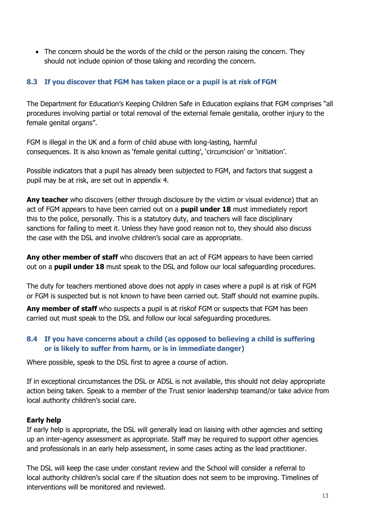• The concern should be the words of the child or the person raising the concern. They should not include opinion of those taking and recording the concern.

## **8.3 If you discover that FGM has taken place or a pupil is at risk of FGM**

The Department for Education's Keeping Children Safe in Education explains that FGM comprises "all procedures involving partial or total removal of the external female genitalia, orother injury to the female genital organs".

FGM is illegal in the UK and a form of child abuse with long-lasting, harmful consequences. It is also known as 'female genital cutting', 'circumcision' or 'initiation'.

Possible indicators that a pupil has already been subjected to FGM, and factors that suggest a pupil may be at risk, are set out in appendix 4.

**Any teacher** who discovers (either through disclosure by the victim or visual evidence) that an act of FGM appears to have been carried out on a **pupil under 18** must immediately report this to the police, personally. This is a statutory duty, and teachers will face disciplinary sanctions for failing to meet it. Unless they have good reason not to, they should also discuss the case with the DSL and involve children's social care as appropriate.

**Any other member of staff** who discovers that an act of FGM appears to have been carried out on a **pupil under 18** must speak to the DSL and follow our local safeguarding procedures.

The duty for teachers mentioned above does not apply in cases where a pupil is at risk of FGM or FGM is suspected but is not known to have been carried out. Staff should not examine pupils.

**Any member of staff** who suspects a pupil is at riskof FGM or suspects that FGM has been carried out must speak to the DSL and follow our local safeguarding procedures.

## **8.4 If you have concerns about a child (as opposed to believing a child is suffering or is likely to suffer from harm, or is in immediate danger)**

Where possible, speak to the DSL first to agree a course of action.

If in exceptional circumstances the DSL or ADSL is not available, this should not delay appropriate action being taken. Speak to a member of the Trust senior leadership teamand/or take advice from local authority children's social care.

## **Early help**

If early help is appropriate, the DSL will generally lead on liaising with other agencies and setting up an inter-agency assessment as appropriate. Staff may be required to support other agencies and professionals in an early help assessment, in some cases acting as the lead practitioner.

The DSL will keep the case under constant review and the School will consider a referral to local authority children's social care if the situation does not seem to be improving. Timelines of interventions will be monitored and reviewed.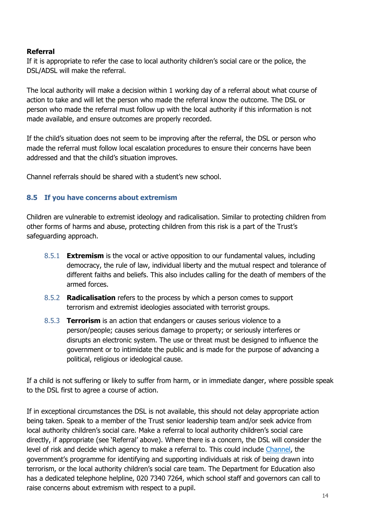## **Referral**

If it is appropriate to refer the case to local authority children's social care or the police, the DSL/ADSL will make the referral.

The local authority will make a decision within 1 working day of a referral about what course of action to take and will let the person who made the referral know the outcome. The DSL or person who made the referral must follow up with the local authority if this information is not made available, and ensure outcomes are properly recorded.

If the child's situation does not seem to be improving after the referral, the DSL or person who made the referral must follow local escalation procedures to ensure their concerns have been addressed and that the child's situation improves.

Channel referrals should be shared with a student's new school.

## **8.5 If you have concerns about extremism**

Children are vulnerable to extremist ideology and radicalisation. Similar to protecting children from other forms of harms and abuse, protecting children from this risk is a part of the Trust's safeguarding approach.

- 8.5.1 **Extremism** is the vocal or active opposition to our fundamental values, including democracy, the rule of law, individual liberty and the mutual respect and tolerance of different faiths and beliefs. This also includes calling for the death of members of the armed forces.
- 8.5.2 **Radicalisation** refers to the process by which a person comes to support terrorism and extremist ideologies associated with terrorist groups.
- 8.5.3 **Terrorism** is an action that endangers or causes serious violence to a person/people; causes serious damage to property; or seriously interferes or disrupts an electronic system. The use or threat must be designed to influence the government or to intimidate the public and is made for the purpose of advancing a political, religious or ideological cause.

If a child is not suffering or likely to suffer from harm, or in immediate danger, where possible speak to the DSL first to agree a course of action.

If in exceptional circumstances the DSL is not available, this should not delay appropriate action being taken. Speak to a member of the Trust senior leadership team and/or seek advice from local authority children's social care. Make a referral to local authority children's social care directly, if appropriate (see 'Referral' above). Where there is a concern, the DSL will consider the level of risk and decide which agency to make a referral to. This could include [Channel,](https://www.gov.uk/government/publications/channel-guidance) the government's programme for identifying and supporting individuals at risk of being drawn into terrorism, or the local authority children's social care team. The Department for Education also has a dedicated telephone helpline, 020 7340 7264, which school staff and governors can call to raise concerns about extremism with respect to a pupil.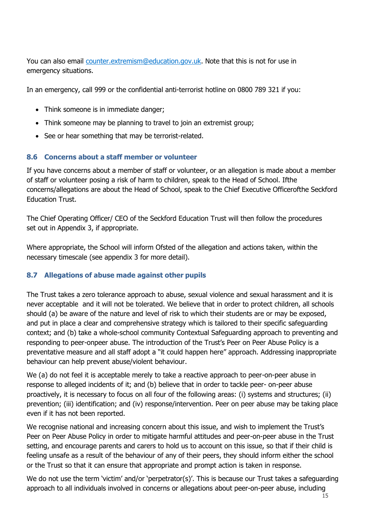You can also email [counter.extremism@education.gov.uk.](mailto:counter.extremism@education.gov.uk) Note that this is not for use in emergency situations.

In an emergency, call 999 or the confidential anti-terrorist hotline on 0800 789 321 if you:

- Think someone is in immediate danger;
- Think someone may be planning to travel to join an extremist group;
- See or hear something that may be terrorist-related.

## **8.6 Concerns about a staff member or volunteer**

If you have concerns about a member of staff or volunteer, or an allegation is made about a member of staff or volunteer posing a risk of harm to children, speak to the Head of School. Ifthe concerns/allegations are about the Head of School, speak to the Chief Executive Officerofthe Seckford Education Trust.

The Chief Operating Officer/ CEO of the Seckford Education Trust will then follow the procedures set out in Appendix 3, if appropriate.

Where appropriate, the School will inform Ofsted of the allegation and actions taken, within the necessary timescale (see appendix 3 for more detail).

## **8.7 Allegations of abuse made against other pupils**

The Trust takes a zero tolerance approach to abuse, sexual violence and sexual harassment and it is never acceptable and it will not be tolerated. We believe that in order to protect children, all schools should (a) be aware of the nature and level of risk to which their students are or may be exposed, and put in place a clear and comprehensive strategy which is tailored to their specific safeguarding context; and (b) take a whole-school community Contextual Safeguarding approach to preventing and responding to peer-onpeer abuse. The introduction of the Trust's Peer on Peer Abuse Policy is a preventative measure and all staff adopt a "it could happen here" approach. Addressing inappropriate behaviour can help prevent abuse/violent behaviour.

We (a) do not feel it is acceptable merely to take a reactive approach to peer-on-peer abuse in response to alleged incidents of it; and (b) believe that in order to tackle peer- on-peer abuse proactively, it is necessary to focus on all four of the following areas: (i) systems and structures; (ii) prevention; (iii) identification; and (iv) response/intervention. Peer on peer abuse may be taking place even if it has not been reported.

We recognise national and increasing concern about this issue, and wish to implement the Trust's Peer on Peer Abuse Policy in order to mitigate harmful attitudes and peer-on-peer abuse in the Trust setting, and encourage parents and carers to hold us to account on this issue, so that if their child is feeling unsafe as a result of the behaviour of any of their peers, they should inform either the school or the Trust so that it can ensure that appropriate and prompt action is taken in response.

We do not use the term 'victim' and/or 'perpetrator(s)'. This is because our Trust takes a safeguarding approach to all individuals involved in concerns or allegations about peer-on-peer abuse, including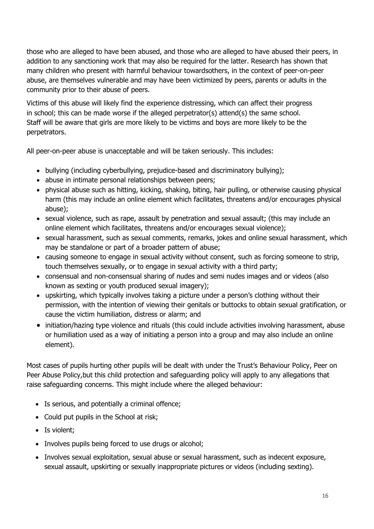those who are alleged to have been abused, and those who are alleged to have abused their peers, in addition to any sanctioning work that may also be required for the latter. Research has shown that many children who present with harmful behaviour towardsothers, in the context of peer-on-peer abuse, are themselves vulnerable and may have been victimized by peers, parents or adults in the community prior to their abuse of peers.

Victims of this abuse will likely find the experience distressing, which can affect their progress in school; this can be made worse if the alleged perpetrator(s) attend(s) the same school. Staff will be aware that girls are more likely to be victims and boys are more likely to be the perpetrators.

All peer-on-peer abuse is unacceptable and will be taken seriously. This includes:

- bullying (including cyberbullying, prejudice-based and discriminatory bullying);
- abuse in intimate personal relationships between peers;
- physical abuse such as hitting, kicking, shaking, biting, hair pulling, or otherwise causing physical harm (this may include an online element which facilitates, threatens and/or encourages physical abuse);
- sexual violence, such as rape, assault by penetration and sexual assault; (this may include an online element which facilitates, threatens and/or encourages sexual violence);
- sexual harassment, such as sexual comments, remarks, jokes and online sexual harassment, which may be standalone or part of a broader pattern of abuse;
- causing someone to engage in sexual activity without consent, such as forcing someone to strip, touch themselves sexually, or to engage in sexual activity with a third party;
- consensual and non-consensual sharing of nudes and semi nudes images and or videos (also known as sexting or youth produced sexual imagery);
- upskirting, which typically involves taking a picture under a person's clothing without their permission, with the intention of viewing their genitals or buttocks to obtain sexual gratification, or cause the victim humiliation, distress or alarm; and
- initiation/hazing type violence and rituals (this could include activities involving harassment, abuse or humiliation used as a way of initiating a person into a group and may also include an online element).

Most cases of pupils hurting other pupils will be dealt with under the Trust's Behaviour Policy, Peer on Peer Abuse Policy,but this child protection and safeguarding policy will apply to any allegations that raise safeguarding concerns. This might include where the alleged behaviour:

- Is serious, and potentially a criminal offence;
- Could put pupils in the School at risk;
- Is violent;
- Involves pupils being forced to use drugs or alcohol;
- Involves sexual exploitation, sexual abuse or sexual harassment, such as indecent exposure, sexual assault, upskirting or sexually inappropriate pictures or videos (including sexting).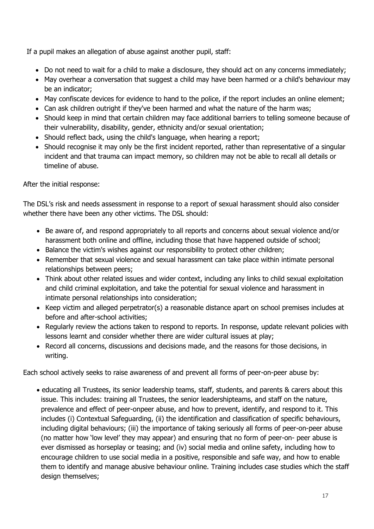If a pupil makes an allegation of abuse against another pupil, staff:

- Do not need to wait for a child to make a disclosure, they should act on any concerns immediately;
- May overhear a conversation that suggest a child may have been harmed or a child's behaviour may be an indicator;
- May confiscate devices for evidence to hand to the police, if the report includes an online element;
- Can ask children outright if they've been harmed and what the nature of the harm was;
- Should keep in mind that certain children may face additional barriers to telling someone because of their vulnerability, disability, gender, ethnicity and/or sexual orientation;
- Should reflect back, using the child's language, when hearing a report;
- Should recognise it may only be the first incident reported, rather than representative of a singular incident and that trauma can impact memory, so children may not be able to recall all details or timeline of abuse.

After the initial response:

The DSL's risk and needs assessment in response to a report of sexual harassment should also consider whether there have been any other victims. The DSL should:

- Be aware of, and respond appropriately to all reports and concerns about sexual violence and/or harassment both online and offline, including those that have happened outside of school;
- Balance the victim's wishes against our responsibility to protect other children;
- Remember that sexual violence and sexual harassment can take place within intimate personal relationships between peers;
- Think about other related issues and wider context, including any links to child sexual exploitation and child criminal exploitation, and take the potential for sexual violence and harassment in intimate personal relationships into consideration;
- Keep victim and alleged perpetrator(s) a reasonable distance apart on school premises includes at before and after-school activities;
- Regularly review the actions taken to respond to reports. In response, update relevant policies with lessons learnt and consider whether there are wider cultural issues at play;
- Record all concerns, discussions and decisions made, and the reasons for those decisions, in writing.

Each school actively seeks to raise awareness of and prevent all forms of peer-on-peer abuse by:

 educating all Trustees, its senior leadership teams, staff, students, and parents & carers about this issue. This includes: training all Trustees, the senior leadershipteams, and staff on the nature, prevalence and effect of peer-onpeer abuse, and how to prevent, identify, and respond to it. This includes (i) Contextual Safeguarding, (ii) the identification and classification of specific behaviours, including digital behaviours; (iii) the importance of taking seriously all forms of peer-on-peer abuse (no matter how 'low level' they may appear) and ensuring that no form of peer-on- peer abuse is ever dismissed as horseplay or teasing; and (iv) social media and online safety, including how to encourage children to use social media in a positive, responsible and safe way, and how to enable them to identify and manage abusive behaviour online. Training includes case studies which the staff design themselves;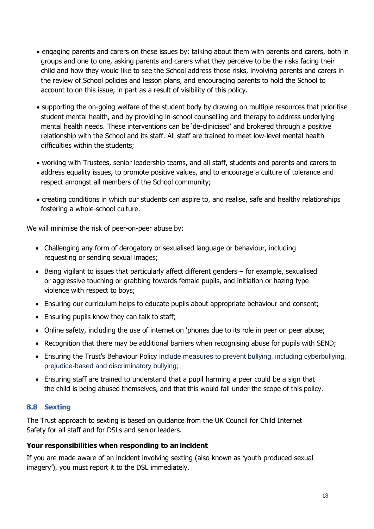- engaging parents and carers on these issues by: talking about them with parents and carers, both in groups and one to one, asking parents and carers what they perceive to be the risks facing their child and how they would like to see the School address those risks, involving parents and carers in the review of School policies and lesson plans, and encouraging parents to hold the School to account to on this issue, in part as a result of visibility of this policy.
- supporting the on-going welfare of the student body by drawing on multiple resources that prioritise student mental health, and by providing in-school counselling and therapy to address underlying mental health needs. These interventions can be 'de-clinicised' and brokered through a positive relationship with the School and its staff. All staff are trained to meet low-level mental health difficulties within the students;
- working with Trustees, senior leadership teams, and all staff, students and parents and carers to address equality issues, to promote positive values, and to encourage a culture of tolerance and respect amongst all members of the School community;
- creating conditions in which our students can aspire to, and realise, safe and healthy relationships fostering a whole-school culture.

We will minimise the risk of peer-on-peer abuse by:

- Challenging any form of derogatory or sexualised language or behaviour, including requesting or sending sexual images;
- $\bullet$  Being vigilant to issues that particularly affect different genders for example, sexualised or aggressive touching or grabbing towards female pupils, and initiation or hazing type violence with respect to boys;
- Ensuring our curriculum helps to educate pupils about appropriate behaviour and consent;
- Ensuring pupils know they can talk to staff;
- Online safety, including the use of internet on 'phones due to its role in peer on peer abuse;
- Recognition that there may be additional barriers when recognising abuse for pupils with SEND;
- Ensuring the Trust's Behaviour Policy include measures to prevent bullying, including cyberbullying, prejudice-based and discriminatory bullying;
- Ensuring staff are trained to understand that a pupil harming a peer could be a sign that the child is being abused themselves, and that this would fall under the scope of this policy.

## **8.8 Sexting**

The Trust approach to sexting is based on guidance from the UK Council for Child Internet Safety for all [staff](https://assets.publishing.service.gov.uk/government/uploads/system/uploads/attachment_data/file/647389/Overview_of_Sexting_Guidance.pdf) and for [DSLs and](https://assets.publishing.service.gov.uk/government/uploads/system/uploads/attachment_data/file/609874/6_2939_SP_NCA_Sexting_In_Schools_FINAL_Update_Jan17.pdf) senior leaders.

## **Your responsibilities when responding to an incident**

If you are made aware of an incident involving sexting (also known as 'youth produced sexual imagery'), you must report it to the DSL immediately.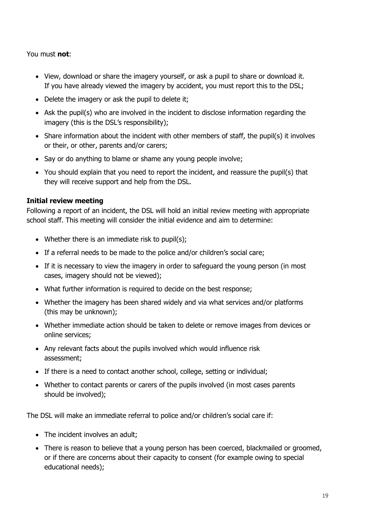## You must **not**:

- View, download or share the imagery yourself, or ask a pupil to share or download it. If you have already viewed the imagery by accident, you must report this to the DSL;
- Delete the imagery or ask the pupil to delete it;
- Ask the pupil(s) who are involved in the incident to disclose information regarding the imagery (this is the DSL's responsibility);
- Share information about the incident with other members of staff, the pupil(s) it involves or their, or other, parents and/or carers;
- Say or do anything to blame or shame any young people involve;
- You should explain that you need to report the incident, and reassure the pupil(s) that they will receive support and help from the DSL.

## **Initial review meeting**

Following a report of an incident, the DSL will hold an initial review meeting with appropriate school staff. This meeting will consider the initial evidence and aim to determine:

- Whether there is an immediate risk to pupil(s);
- If a referral needs to be made to the police and/or children's social care;
- If it is necessary to view the imagery in order to safeguard the young person (in most cases, imagery should not be viewed);
- What further information is required to decide on the best response;
- Whether the imagery has been shared widely and via what services and/or platforms (this may be unknown);
- Whether immediate action should be taken to delete or remove images from devices or online services;
- Any relevant facts about the pupils involved which would influence risk assessment;
- If there is a need to contact another school, college, setting or individual;
- Whether to contact parents or carers of the pupils involved (in most cases parents should be involved);

The DSL will make an immediate referral to police and/or children's social care if:

- The incident involves an adult;
- There is reason to believe that a young person has been coerced, blackmailed or groomed, or if there are concerns about their capacity to consent (for example owing to special educational needs);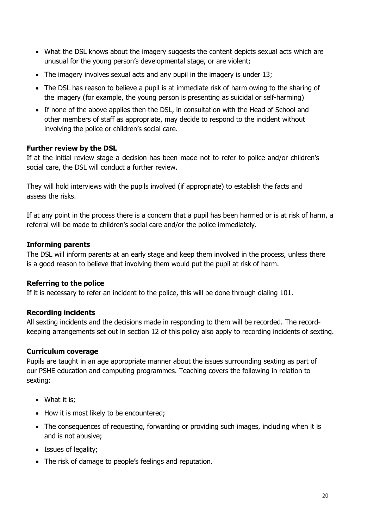- What the DSL knows about the imagery suggests the content depicts sexual acts which are unusual for the young person's developmental stage, or are violent;
- The imagery involves sexual acts and any pupil in the imagery is under 13;
- The DSL has reason to believe a pupil is at immediate risk of harm owing to the sharing of the imagery (for example, the young person is presenting as suicidal or self-harming)
- If none of the above applies then the DSL, in consultation with the Head of School and other members of staff as appropriate, may decide to respond to the incident without involving the police or children's social care.

## **Further review by the DSL**

If at the initial review stage a decision has been made not to refer to police and/or children's social care, the DSL will conduct a further review.

They will hold interviews with the pupils involved (if appropriate) to establish the facts and assess the risks.

If at any point in the process there is a concern that a pupil has been harmed or is at risk of harm, a referral will be made to children's social care and/or the police immediately.

## **Informing parents**

The DSL will inform parents at an early stage and keep them involved in the process, unless there is a good reason to believe that involving them would put the pupil at risk of harm.

## **Referring to the police**

If it is necessary to refer an incident to the police, this will be done through dialing 101.

## **Recording incidents**

All sexting incidents and the decisions made in responding to them will be recorded. The recordkeeping arrangements set out in section 12 of this policy also apply to recording incidents of sexting.

## **Curriculum coverage**

Pupils are taught in an age appropriate manner about the issues surrounding sexting as part of our PSHE education and computing programmes. Teaching covers the following in relation to sexting:

- What it is;
- How it is most likely to be encountered;
- The consequences of requesting, forwarding or providing such images, including when it is and is not abusive;
- Issues of legality;
- The risk of damage to people's feelings and reputation.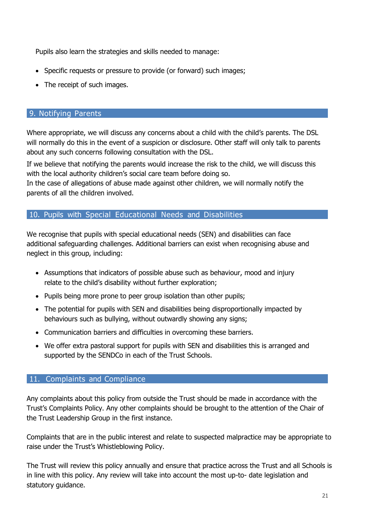Pupils also learn the strategies and skills needed to manage:

- Specific requests or pressure to provide (or forward) such images;
- The receipt of such images.

## 9. Notifying Parents

Where appropriate, we will discuss any concerns about a child with the child's parents. The DSL will normally do this in the event of a suspicion or disclosure. Other staff will only talk to parents about any such concerns following consultation with the DSL.

If we believe that notifying the parents would increase the risk to the child, we will discuss this with the local authority children's social care team before doing so.

In the case of allegations of abuse made against other children, we will normally notify the parents of all the children involved.

## 10. Pupils with Special Educational Needs and Disabilities

We recognise that pupils with special educational needs (SEN) and disabilities can face additional safeguarding challenges. Additional barriers can exist when recognising abuse and neglect in this group, including:

- Assumptions that indicators of possible abuse such as behaviour, mood and injury relate to the child's disability without further exploration;
- Pupils being more prone to peer group isolation than other pupils;
- The potential for pupils with SEN and disabilities being disproportionally impacted by behaviours such as bullying, without outwardly showing any signs;
- Communication barriers and difficulties in overcoming these barriers.
- We offer extra pastoral support for pupils with SEN and disabilities this is arranged and supported by the SENDCo in each of the Trust Schools.

## 11. Complaints and Compliance

Any complaints about this policy from outside the Trust should be made in accordance with the Trust's Complaints Policy. Any other complaints should be brought to the attention of the Chair of the Trust Leadership Group in the first instance.

Complaints that are in the public interest and relate to suspected malpractice may be appropriate to raise under the Trust's Whistleblowing Policy.

The Trust will review this policy annually and ensure that practice across the Trust and all Schools is in line with this policy. Any review will take into account the most up-to- date legislation and statutory guidance.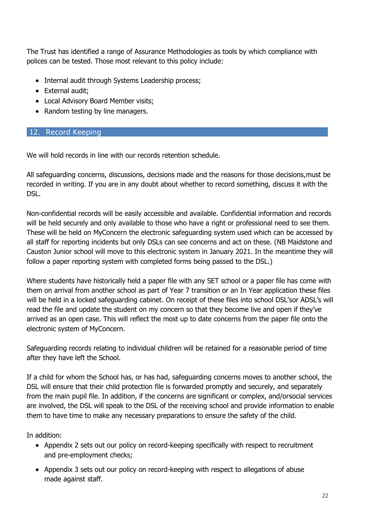The Trust has identified a range of Assurance Methodologies as tools by which compliance with polices can be tested. Those most relevant to this policy include:

- Internal audit through Systems Leadership process;
- External audit:
- Local Advisory Board Member visits;
- Random testing by line managers.

## 12. Record Keeping

We will hold records in line with our records retention schedule.

All safeguarding concerns, discussions, decisions made and the reasons for those decisions,must be recorded in writing. If you are in any doubt about whether to record something, discuss it with the DSL.

Non-confidential records will be easily accessible and available. Confidential information and records will be held securely and only available to those who have a right or professional need to see them. These will be held on MyConcern the electronic safeguarding system used which can be accessed by all staff for reporting incidents but only DSLs can see concerns and act on these. (NB Maidstone and Causton Junior school will move to this electronic system in January 2021. In the meantime they will follow a paper reporting system with completed forms being passed to the DSL.)

Where students have historically held a paper file with any SET school or a paper file has come with them on arrival from another school as part of Year 7 transition or an In Year application these files will be held in a locked safeguarding cabinet. On receipt of these files into school DSL'sor ADSL's will read the file and update the student on my concern so that they become live and open if they've arrived as an open case. This will reflect the most up to date concerns from the paper file onto the electronic system of MyConcern.

Safeguarding records relating to individual children will be retained for a reasonable period of time after they have left the School.

If a child for whom the School has, or has had, safeguarding concerns moves to another school, the DSL will ensure that their child protection file is forwarded promptly and securely, and separately from the main pupil file. In addition, if the concerns are significant or complex, and/orsocial services are involved, the DSL will speak to the DSL of the receiving school and provide information to enable them to have time to make any necessary preparations to ensure the safety of the child.

In addition:

- Appendix 2 sets out our policy on record-keeping specifically with respect to recruitment and pre-employment checks;
- Appendix 3 sets out our policy on record-keeping with respect to allegations of abuse made against staff.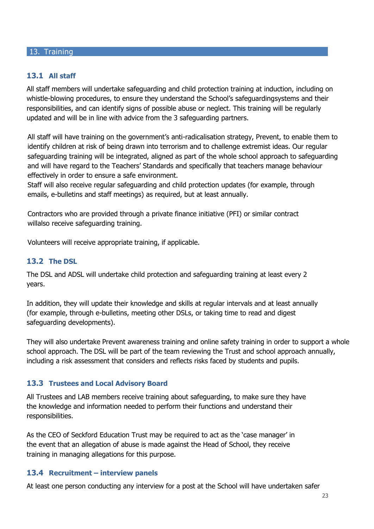#### 13. Training

## **13.1 All staff**

All staff members will undertake safeguarding and child protection training at induction, including on whistle-blowing procedures, to ensure they understand the School's safeguardingsystems and their responsibilities, and can identify signs of possible abuse or neglect. This training will be regularly updated and will be in line with advice from the 3 safeguarding partners.

All staff will have training on the government's anti-radicalisation strategy, Prevent, to enable them to identify children at risk of being drawn into terrorism and to challenge extremist ideas. Our regular safeguarding training will be integrated, aligned as part of the whole school approach to safeguarding and will have regard to the Teachers' Standards and specifically that teachers manage behaviour effectively in order to ensure a safe environment.

Staff will also receive regular safeguarding and child protection updates (for example, through emails, e-bulletins and staff meetings) as required, but at least annually.

Contractors who are provided through a private finance initiative (PFI) or similar contract willalso receive safeguarding training.

Volunteers will receive appropriate training, if applicable.

#### **13.2 The DSL**

The DSL and ADSL will undertake child protection and safeguarding training at least every 2 years.

In addition, they will update their knowledge and skills at regular intervals and at least annually (for example, through e-bulletins, meeting other DSLs, or taking time to read and digest safeguarding developments).

They will also undertake Prevent awareness training and online safety training in order to support a whole school approach. The DSL will be part of the team reviewing the Trust and school approach annually, including a risk assessment that considers and reflects risks faced by students and pupils.

## **13.3 Trustees and Local Advisory Board**

All Trustees and LAB members receive training about safeguarding, to make sure they have the knowledge and information needed to perform their functions and understand their responsibilities.

As the CEO of Seckford Education Trust may be required to act as the 'case manager' in the event that an allegation of abuse is made against the Head of School, they receive training in managing allegations for this purpose.

#### **13.4 Recruitment – interview panels**

At least one person conducting any interview for a post at the School will have undertaken safer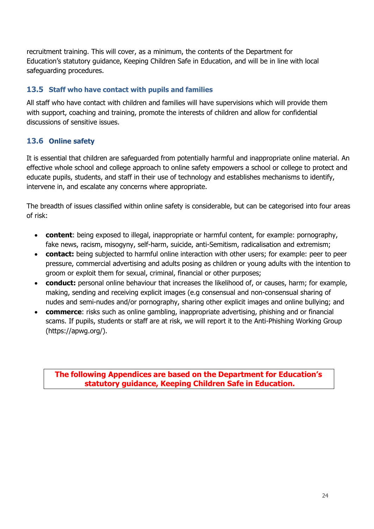recruitment training. This will cover, as a minimum, the contents of the Department for Education's statutory guidance, Keeping Children Safe in Education, and will be in line with local safeguarding procedures.

## **13.5 Staff who have contact with pupils and families**

All staff who have contact with children and families will have supervisions which will provide them with support, coaching and training, promote the interests of children and allow for confidential discussions of sensitive issues.

# **13.6 Online safety**

It is essential that children are safeguarded from potentially harmful and inappropriate online material. An effective whole school and college approach to online safety empowers a school or college to protect and educate pupils, students, and staff in their use of technology and establishes mechanisms to identify, intervene in, and escalate any concerns where appropriate.

The breadth of issues classified within online safety is considerable, but can be categorised into four areas of risk:

- **content**: being exposed to illegal, inappropriate or harmful content, for example: pornography, fake news, racism, misogyny, self-harm, suicide, anti-Semitism, radicalisation and extremism;
- **contact:** being subjected to harmful online interaction with other users; for example: peer to peer pressure, commercial advertising and adults posing as children or young adults with the intention to groom or exploit them for sexual, criminal, financial or other purposes;
- **conduct:** personal online behaviour that increases the likelihood of, or causes, harm; for example, making, sending and receiving explicit images (e.g consensual and non-consensual sharing of nudes and semi-nudes and/or pornography, sharing other explicit images and online bullying; and
- **commerce**: risks such as online gambling, inappropriate advertising, phishing and or financial scams. If pupils, students or staff are at risk, we will report it to the Anti-Phishing Working Group (https://apwg.org/).

**The following Appendices are based on the Department for Education's statutory guidance, Keeping Children Safe in Education.**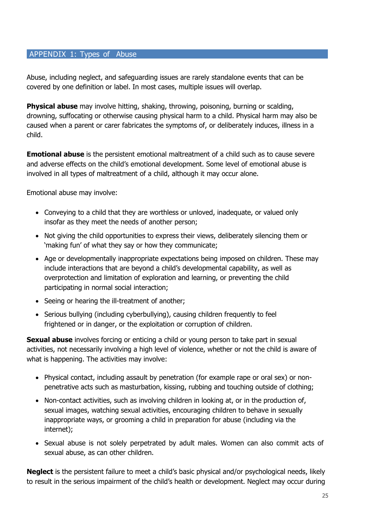## APPENDIX 1: Types of Abuse

Abuse, including neglect, and safeguarding issues are rarely standalone events that can be covered by one definition or label. In most cases, multiple issues will overlap.

**Physical abuse** may involve hitting, shaking, throwing, poisoning, burning or scalding, drowning, suffocating or otherwise causing physical harm to a child. Physical harm may also be caused when a parent or carer fabricates the symptoms of, or deliberately induces, illness in a child.

**Emotional abuse** is the persistent emotional maltreatment of a child such as to cause severe and adverse effects on the child's emotional development. Some level of emotional abuse is involved in all types of maltreatment of a child, although it may occur alone.

Emotional abuse may involve:

- Conveying to a child that they are worthless or unloved, inadequate, or valued only insofar as they meet the needs of another person;
- Not giving the child opportunities to express their views, deliberately silencing them or 'making fun' of what they say or how they communicate;
- Age or developmentally inappropriate expectations being imposed on children. These may include interactions that are beyond a child's developmental capability, as well as overprotection and limitation of exploration and learning, or preventing the child participating in normal social interaction;
- Seeing or hearing the ill-treatment of another;
- Serious bullying (including cyberbullying), causing children frequently to feel frightened or in danger, or the exploitation or corruption of children.

**Sexual abuse** involves forcing or enticing a child or young person to take part in sexual activities, not necessarily involving a high level of violence, whether or not the child is aware of what is happening. The activities may involve:

- Physical contact, including assault by penetration (for example rape or oral sex) or nonpenetrative acts such as masturbation, kissing, rubbing and touching outside of clothing;
- Non-contact activities, such as involving children in looking at, or in the production of, sexual images, watching sexual activities, encouraging children to behave in sexually inappropriate ways, or grooming a child in preparation for abuse (including via the internet);
- Sexual abuse is not solely perpetrated by adult males. Women can also commit acts of sexual abuse, as can other children.

**Neglect** is the persistent failure to meet a child's basic physical and/or psychological needs, likely to result in the serious impairment of the child's health or development. Neglect may occur during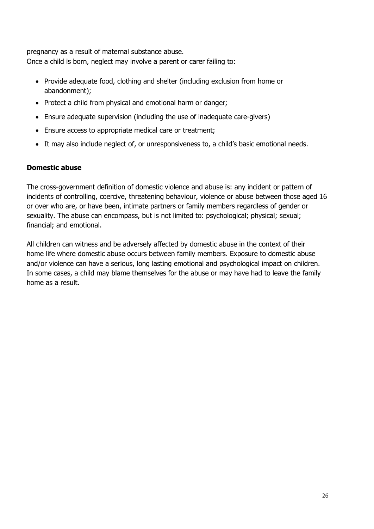pregnancy as a result of maternal substance abuse. Once a child is born, neglect may involve a parent or carer failing to:

- Provide adequate food, clothing and shelter (including exclusion from home or abandonment);
- Protect a child from physical and emotional harm or danger;
- Ensure adequate supervision (including the use of inadequate care-givers)
- Ensure access to appropriate medical care or treatment;
- It may also include neglect of, or unresponsiveness to, a child's basic emotional needs.

## **Domestic abuse**

The cross-government definition of domestic violence and abuse is: any incident or pattern of incidents of controlling, coercive, threatening behaviour, violence or abuse between those aged 16 or over who are, or have been, intimate partners or family members regardless of gender or sexuality. The abuse can encompass, but is not limited to: psychological; physical; sexual; financial; and emotional.

All children can witness and be adversely affected by domestic abuse in the context of their home life where domestic abuse occurs between family members. Exposure to domestic abuse and/or violence can have a serious, long lasting emotional and psychological impact on children. In some cases, a child may blame themselves for the abuse or may have had to leave the family home as a result.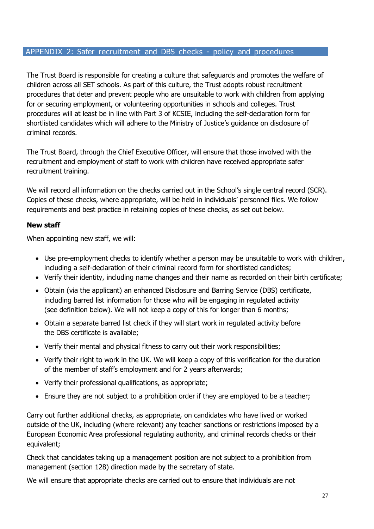## APPENDIX 2: Safer recruitment and DBS checks - policy and procedures

The Trust Board is responsible for creating a culture that safeguards and promotes the welfare of children across all SET schools. As part of this culture, the Trust adopts robust recruitment procedures that deter and prevent people who are unsuitable to work with children from applying for or securing employment, or volunteering opportunities in schools and colleges. Trust procedures will at least be in line with Part 3 of KCSIE, including the self-declaration form for shortlisted candidates which will adhere to the Ministry of Justice's guidance on disclosure of criminal records.

The Trust Board, through the Chief Executive Officer, will ensure that those involved with the recruitment and employment of staff to work with children have received appropriate safer recruitment training.

We will record all information on the checks carried out in the School's single central record (SCR). Copies of these checks, where appropriate, will be held in individuals' personnel files. We follow requirements and best practice in retaining copies of these checks, as set out below.

## **New staff**

When appointing new staff, we will:

- Use pre-employment checks to identify whether a person may be unsuitable to work with children, including a self-declaration of their criminal record form for shortlisted candidtes;
- Verify their identity, including name changes and their name as recorded on their birth certificate;
- Obtain (via the applicant) an enhanced Disclosure and Barring Service (DBS) certificate, including barred list information for those who will be engaging in regulated activity (see definition below). We will not keep a copy of this for longer than 6 months;
- Obtain a separate barred list check if they will start work in regulated activity before the DBS certificate is available;
- Verify their mental and physical fitness to carry out their work responsibilities;
- Verify their right to work in the UK. We will keep a copy of this verification for the duration of the member of staff's employment and for 2 years afterwards;
- Verify their professional qualifications, as appropriate;
- Ensure they are not subject to a prohibition order if they are employed to be a teacher;

Carry out further additional checks, as appropriate, on candidates who have lived or worked outside of the UK, including (where relevant) any teacher sanctions or restrictions imposed by a European Economic Area professional regulating authority, and criminal records checks or their equivalent;

Check that candidates taking up a management position are not subject to a prohibition from management (section 128) direction made by the secretary of state.

We will ensure that appropriate checks are carried out to ensure that individuals are not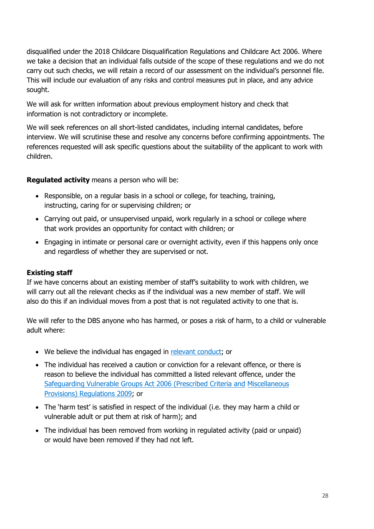disqualified under the 2018 Childcare Disqualification Regulations and Childcare Act 2006. Where we take a decision that an individual falls outside of the scope of these regulations and we do not carry out such checks, we will retain a record of our assessment on the individual's personnel file. This will include our evaluation of any risks and control measures put in place, and any advice sought.

We will ask for written information about previous employment history and check that information is not contradictory or incomplete.

We will seek references on all short-listed candidates, including internal candidates, before interview. We will scrutinise these and resolve any concerns before confirming appointments. The references requested will ask specific questions about the suitability of the applicant to work with children.

## **Regulated activity** means a person who will be:

- Responsible, on a regular basis in a school or college, for teaching, training, instructing, caring for or supervising children; or
- Carrying out paid, or unsupervised unpaid, work regularly in a school or college where that work provides an opportunity for contact with children; or
- Engaging in intimate or personal care or overnight activity, even if this happens only once and regardless of whether they are supervised or not.

## **Existing staff**

If we have concerns about an existing member of staff's suitability to work with children, we will carry out all the relevant checks as if the individual was a new member of staff. We will also do this if an individual moves from a post that is not regulated activity to one that is.

We will refer to the DBS anyone who has harmed, or poses a risk of harm, to a child or vulnerable adult where:

- We believe the individual has engaged in relevant [conduct;](https://www.gov.uk/guidance/making-barring-referrals-to-the-dbs#relevant-conduct-in-relation-to-children) or
- The individual has received a caution or conviction for a relevant offence, or there is reason to believe the individual has committed a listed relevant offence, under the [Safeguarding Vulnerable Groups Act 2006 \(Prescribed Criteria and](http://www.legislation.gov.uk/uksi/2009/37/contents/made) [Miscellaneous](http://www.legislation.gov.uk/uksi/2009/37/contents/made) Provisions) [Regulations](http://www.legislation.gov.uk/uksi/2009/37/contents/made) 2009; or
- The 'harm test' is satisfied in respect of the individual (i.e. they may harm a child or vulnerable adult or put them at risk of harm); and
- The individual has been removed from working in regulated activity (paid or unpaid) or would have been removed if they had not left.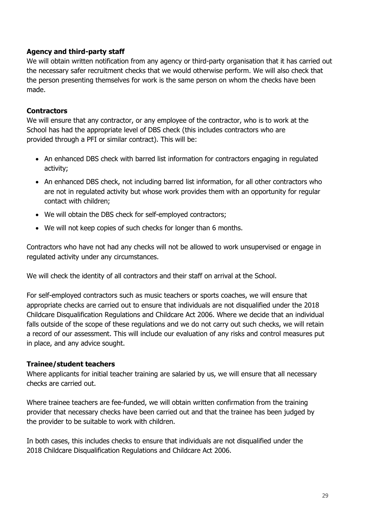## **Agency and third-party staff**

We will obtain written notification from any agency or third-party organisation that it has carried out the necessary safer recruitment checks that we would otherwise perform. We will also check that the person presenting themselves for work is the same person on whom the checks have been made.

## **Contractors**

We will ensure that any contractor, or any employee of the contractor, who is to work at the School has had the appropriate level of DBS check (this includes contractors who are provided through a PFI or similar contract). This will be:

- An enhanced DBS check with barred list information for contractors engaging in regulated activity;
- An enhanced DBS check, not including barred list information, for all other contractors who are not in regulated activity but whose work provides them with an opportunity for regular contact with children;
- We will obtain the DBS check for self-employed contractors;
- We will not keep copies of such checks for longer than 6 months.

Contractors who have not had any checks will not be allowed to work unsupervised or engage in regulated activity under any circumstances.

We will check the identity of all contractors and their staff on arrival at the School.

For self-employed contractors such as music teachers or sports coaches, we will ensure that appropriate checks are carried out to ensure that individuals are not disqualified under the 2018 Childcare Disqualification Regulations and Childcare Act 2006. Where we decide that an individual falls outside of the scope of these regulations and we do not carry out such checks, we will retain a record of our assessment. This will include our evaluation of any risks and control measures put in place, and any advice sought.

#### **Trainee/student teachers**

Where applicants for initial teacher training are salaried by us, we will ensure that all necessary checks are carried out.

Where trainee teachers are fee-funded, we will obtain written confirmation from the training provider that necessary checks have been carried out and that the trainee has been judged by the provider to be suitable to work with children.

In both cases, this includes checks to ensure that individuals are not disqualified under the 2018 Childcare Disqualification Regulations and Childcare Act 2006.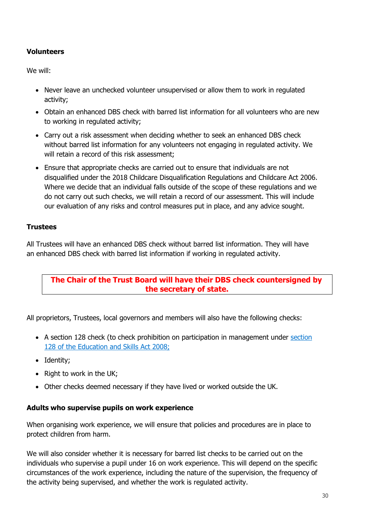## **Volunteers**

We will:

- Never leave an unchecked volunteer unsupervised or allow them to work in regulated activity;
- Obtain an enhanced DBS check with barred list information for all volunteers who are new to working in regulated activity;
- Carry out a risk assessment when deciding whether to seek an enhanced DBS check without barred list information for any volunteers not engaging in regulated activity. We will retain a record of this risk assessment;
- Ensure that appropriate checks are carried out to ensure that individuals are not disqualified under the 2018 Childcare Disqualification Regulations and Childcare Act 2006. Where we decide that an individual falls outside of the scope of these regulations and we do not carry out such checks, we will retain a record of our assessment. This will include our evaluation of any risks and control measures put in place, and any advice sought.

## **Trustees**

All Trustees will have an enhanced DBS check without barred list information. They will have an enhanced DBS check with barred list information if working in regulated activity.

## **The Chair of the Trust Board will have their DBS check countersigned by the secretary of state.**

All proprietors, Trustees, local governors and members will also have the following checks:

- A [section](https://www.legislation.gov.uk/ukpga/2008/25/section/128) 128 check (to check prohibition on participation in management under section 128 of the [Education and](https://www.legislation.gov.uk/ukpga/2008/25/section/128) Skills Act 2008;
- Identity;
- $\bullet$  Right to work in the UK;
- Other checks deemed necessary if they have lived or worked outside the UK.

## **Adults who supervise pupils on work experience**

When organising work experience, we will ensure that policies and procedures are in place to protect children from harm.

We will also consider whether it is necessary for barred list checks to be carried out on the individuals who supervise a pupil under 16 on work experience. This will depend on the specific circumstances of the work experience, including the nature of the supervision, the frequency of the activity being supervised, and whether the work is regulated activity.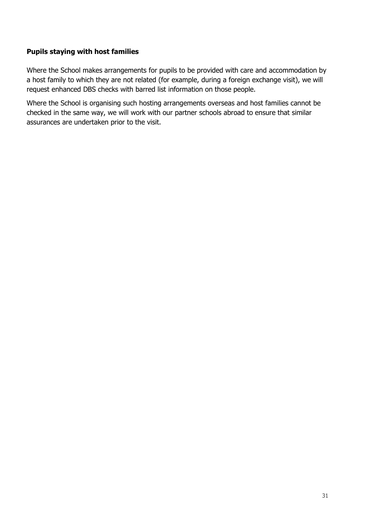## **Pupils staying with host families**

Where the School makes arrangements for pupils to be provided with care and accommodation by a host family to which they are not related (for example, during a foreign exchange visit), we will request enhanced DBS checks with barred list information on those people.

Where the School is organising such hosting arrangements overseas and host families cannot be checked in the same way, we will work with our partner schools abroad to ensure that similar assurances are undertaken prior to the visit.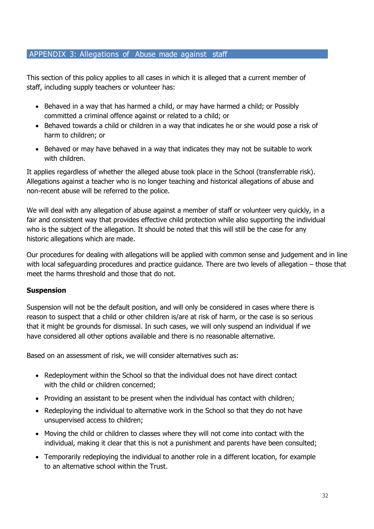## APPENDIX 3: Allegations of Abuse made against staff

This section of this policy applies to all cases in which it is alleged that a current member of staff, including supply teachers or volunteer has:

- Behaved in a way that has harmed a child, or may have harmed a child; or Possibly committed a criminal offence against or related to a child; or
- Behaved towards a child or children in a way that indicates he or she would pose a risk of harm to children; or
- Behaved or may have behaved in a way that indicates they may not be suitable to work with children.

It applies regardless of whether the alleged abuse took place in the School (transferrable risk). Allegations against a teacher who is no longer teaching and historical allegations of abuse and non-recent abuse will be referred to the police.

We will deal with any allegation of abuse against a member of staff or volunteer very quickly, in a fair and consistent way that provides effective child protection while also supporting the individual who is the subject of the allegation. It should be noted that this will still be the case for any historic allegations which are made.

Our procedures for dealing with allegations will be applied with common sense and judgement and in line with local safeguarding procedures and practice guidance. There are two levels of allegation – those that meet the harms threshold and those that do not.

## **Suspension**

Suspension will not be the default position, and will only be considered in cases where there is reason to suspect that a child or other children is/are at risk of harm, or the case is so serious that it might be grounds for dismissal. In such cases, we will only suspend an individual if we have considered all other options available and there is no reasonable alternative.

Based on an assessment of risk, we will consider alternatives such as:

- Redeployment within the School so that the individual does not have direct contact with the child or children concerned;
- Providing an assistant to be present when the individual has contact with children;
- Redeploying the individual to alternative work in the School so that they do not have unsupervised access to children;
- Moving the child or children to classes where they will not come into contact with the individual, making it clear that this is not a punishment and parents have been consulted;
- Temporarily redeploying the individual to another role in a different location, for example to an alternative school within the Trust.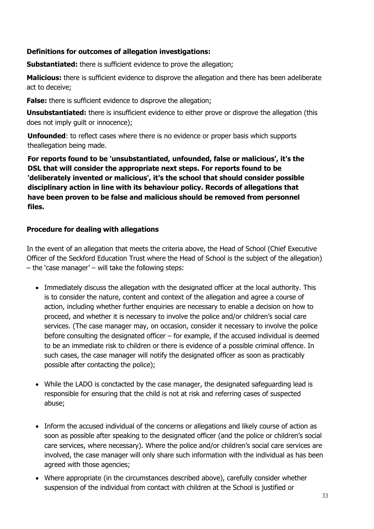## **Definitions for outcomes of allegation investigations:**

**Substantiated:** there is sufficient evidence to prove the allegation;

**Malicious:** there is sufficient evidence to disprove the allegation and there has been adeliberate act to deceive;

**False:** there is sufficient evidence to disprove the allegation;

**Unsubstantiated:** there is insufficient evidence to either prove or disprove the allegation (this does not imply guilt or innocence);

**Unfounded**: to reflect cases where there is no evidence or proper basis which supports theallegation being made.

**For reports found to be 'unsubstantiated, unfounded, false or malicious', it's the DSL that will consider the appropriate next steps. For reports found to be 'deliberately invented or malicious', it's the school that should consider possible disciplinary action in line with its behaviour policy. Records of allegations that have been proven to be false and malicious should be removed from personnel files.** 

## **Procedure for dealing with allegations**

In the event of an allegation that meets the criteria above, the Head of School (Chief Executive Officer of the Seckford Education Trust where the Head of School is the subject of the allegation) – the 'case manager' – will take the following steps:

- Immediately discuss the allegation with the designated officer at the local authority. This is to consider the nature, content and context of the allegation and agree a course of action, including whether further enquiries are necessary to enable a decision on how to proceed, and whether it is necessary to involve the police and/or children's social care services. (The case manager may, on occasion, consider it necessary to involve the police before consulting the designated officer – for example, if the accused individual is deemed to be an immediate risk to children or there is evidence of a possible criminal offence. In such cases, the case manager will notify the designated officer as soon as practicably possible after contacting the police);
- While the LADO is conctacted by the case manager, the designated safeguarding lead is responsible for ensuring that the child is not at risk and referring cases of suspected abuse;
- Inform the accused individual of the concerns or allegations and likely course of action as soon as possible after speaking to the designated officer (and the police or children's social care services, where necessary). Where the police and/or children's social care services are involved, the case manager will only share such information with the individual as has been agreed with those agencies;
- Where appropriate (in the circumstances described above), carefully consider whether suspension of the individual from contact with children at the School is justified or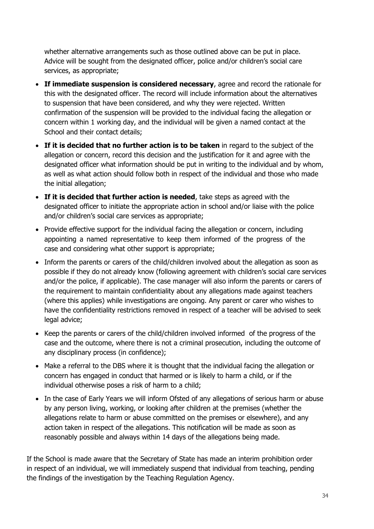whether alternative arrangements such as those outlined above can be put in place. Advice will be sought from the designated officer, police and/or children's social care services, as appropriate;

- **If immediate suspension is considered necessary**, agree and record the rationale for this with the designated officer. The record will include information about the alternatives to suspension that have been considered, and why they were rejected. Written confirmation of the suspension will be provided to the individual facing the allegation or concern within 1 working day, and the individual will be given a named contact at the School and their contact details;
- **If it is decided that no further action is to be taken** in regard to the subject of the allegation or concern, record this decision and the justification for it and agree with the designated officer what information should be put in writing to the individual and by whom, as well as what action should follow both in respect of the individual and those who made the initial allegation;
- **If it is decided that further action is needed**, take steps as agreed with the designated officer to initiate the appropriate action in school and/or liaise with the police and/or children's social care services as appropriate;
- Provide effective support for the individual facing the allegation or concern, including appointing a named representative to keep them informed of the progress of the case and considering what other support is appropriate;
- Inform the parents or carers of the child/children involved about the allegation as soon as possible if they do not already know (following agreement with children's social care services and/or the police, if applicable). The case manager will also inform the parents or carers of the requirement to maintain confidentiality about any allegations made against teachers (where this applies) while investigations are ongoing. Any parent or carer who wishes to have the confidentiality restrictions removed in respect of a teacher will be advised to seek legal advice;
- Keep the parents or carers of the child/children involved informed of the progress of the case and the outcome, where there is not a criminal prosecution, including the outcome of any disciplinary process (in confidence);
- Make a referral to the DBS where it is thought that the individual facing the allegation or concern has engaged in conduct that harmed or is likely to harm a child, or if the individual otherwise poses a risk of harm to a child;
- In the case of Early Years we will inform Ofsted of any allegations of serious harm or abuse by any person living, working, or looking after children at the premises (whether the allegations relate to harm or abuse committed on the premises or elsewhere), and any action taken in respect of the allegations. This notification will be made as soon as reasonably possible and always within 14 days of the allegations being made.

If the School is made aware that the Secretary of State has made an interim prohibition order in respect of an individual, we will immediately suspend that individual from teaching, pending the findings of the investigation by the Teaching Regulation Agency.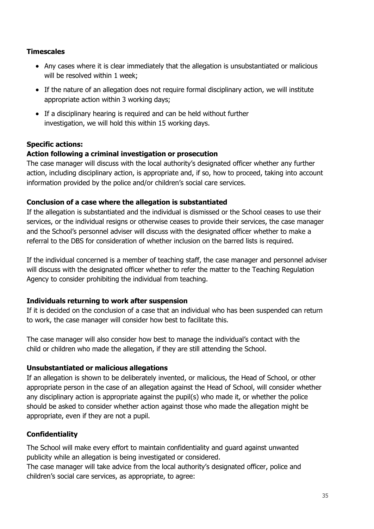## **Timescales**

- Any cases where it is clear immediately that the allegation is unsubstantiated or malicious will be resolved within 1 week;
- If the nature of an allegation does not require formal disciplinary action, we will institute appropriate action within 3 working days;
- If a disciplinary hearing is required and can be held without further investigation, we will hold this within 15 working days.

## **Specific actions:**

## **Action following a criminal investigation or prosecution**

The case manager will discuss with the local authority's designated officer whether any further action, including disciplinary action, is appropriate and, if so, how to proceed, taking into account information provided by the police and/or children's social care services.

## **Conclusion of a case where the allegation is substantiated**

If the allegation is substantiated and the individual is dismissed or the School ceases to use their services, or the individual resigns or otherwise ceases to provide their services, the case manager and the School's personnel adviser will discuss with the designated officer whether to make a referral to the DBS for consideration of whether inclusion on the barred lists is required.

If the individual concerned is a member of teaching staff, the case manager and personnel adviser will discuss with the designated officer whether to refer the matter to the Teaching Regulation Agency to consider prohibiting the individual from teaching.

## **Individuals returning to work after suspension**

If it is decided on the conclusion of a case that an individual who has been suspended can return to work, the case manager will consider how best to facilitate this.

The case manager will also consider how best to manage the individual's contact with the child or children who made the allegation, if they are still attending the School.

## **Unsubstantiated or malicious allegations**

If an allegation is shown to be deliberately invented, or malicious, the Head of School, or other appropriate person in the case of an allegation against the Head of School, will consider whether any disciplinary action is appropriate against the pupil(s) who made it, or whether the police should be asked to consider whether action against those who made the allegation might be appropriate, even if they are not a pupil.

## **Confidentiality**

The School will make every effort to maintain confidentiality and guard against unwanted publicity while an allegation is being investigated or considered.

The case manager will take advice from the local authority's designated officer, police and children's social care services, as appropriate, to agree: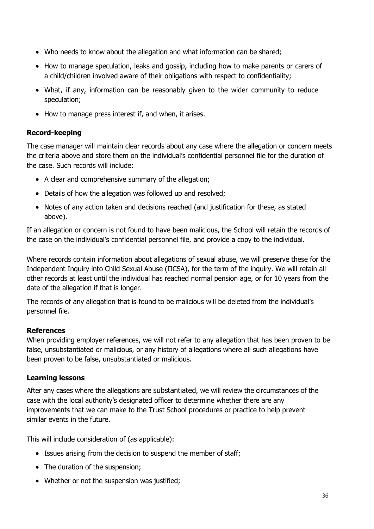- Who needs to know about the allegation and what information can be shared;
- How to manage speculation, leaks and gossip, including how to make parents or carers of a child/children involved aware of their obligations with respect to confidentiality;
- What, if any, information can be reasonably given to the wider community to reduce speculation;
- How to manage press interest if, and when, it arises.

## **Record-keeping**

The case manager will maintain clear records about any case where the allegation or concern meets the criteria above and store them on the individual's confidential personnel file for the duration of the case. Such records will include:

- A clear and comprehensive summary of the allegation;
- Details of how the allegation was followed up and resolved;
- Notes of any action taken and decisions reached (and justification for these, as stated above).

If an allegation or concern is not found to have been malicious, the School will retain the records of the case on the individual's confidential personnel file, and provide a copy to the individual.

Where records contain information about allegations of sexual abuse, we will preserve these for the Independent Inquiry into Child Sexual Abuse (IICSA), for the term of the inquiry. We will retain all other records at least until the individual has reached normal pension age, or for 10 years from the date of the allegation if that is longer.

The records of any allegation that is found to be malicious will be deleted from the individual's personnel file.

## **References**

When providing employer references, we will not refer to any allegation that has been proven to be false, unsubstantiated or malicious, or any history of allegations where all such allegations have been proven to be false, unsubstantiated or malicious.

## **Learning lessons**

After any cases where the allegations are substantiated, we will review the circumstances of the case with the local authority's designated officer to determine whether there are any improvements that we can make to the Trust School procedures or practice to help prevent similar events in the future.

This will include consideration of (as applicable):

- Issues arising from the decision to suspend the member of staff;
- The duration of the suspension;
- Whether or not the suspension was justified;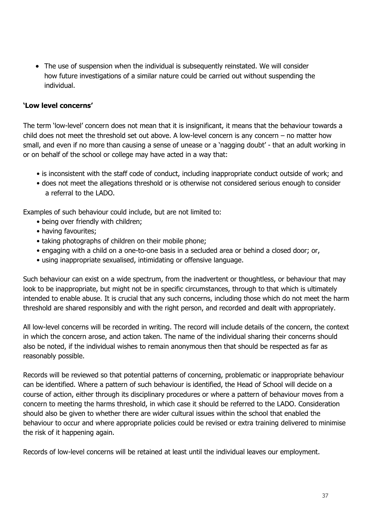• The use of suspension when the individual is subsequently reinstated. We will consider how future investigations of a similar nature could be carried out without suspending the individual.

## **'Low level concerns'**

The term 'low-level' concern does not mean that it is insignificant, it means that the behaviour towards a child does not meet the threshold set out above. A low-level concern is any concern – no matter how small, and even if no more than causing a sense of unease or a 'nagging doubt' - that an adult working in or on behalf of the school or college may have acted in a way that:

- is inconsistent with the staff code of conduct, including inappropriate conduct outside of work; and
- does not meet the allegations threshold or is otherwise not considered serious enough to consider a referral to the LADO.

Examples of such behaviour could include, but are not limited to:

- being over friendly with children;
- having favourites;
- taking photographs of children on their mobile phone;
- engaging with a child on a one-to-one basis in a secluded area or behind a closed door; or,
- using inappropriate sexualised, intimidating or offensive language.

Such behaviour can exist on a wide spectrum, from the inadvertent or thoughtless, or behaviour that may look to be inappropriate, but might not be in specific circumstances, through to that which is ultimately intended to enable abuse. It is crucial that any such concerns, including those which do not meet the harm threshold are shared responsibly and with the right person, and recorded and dealt with appropriately.

All low-level concerns will be recorded in writing. The record will include details of the concern, the context in which the concern arose, and action taken. The name of the individual sharing their concerns should also be noted, if the individual wishes to remain anonymous then that should be respected as far as reasonably possible.

Records will be reviewed so that potential patterns of concerning, problematic or inappropriate behaviour can be identified. Where a pattern of such behaviour is identified, the Head of School will decide on a course of action, either through its disciplinary procedures or where a pattern of behaviour moves from a concern to meeting the harms threshold, in which case it should be referred to the LADO. Consideration should also be given to whether there are wider cultural issues within the school that enabled the behaviour to occur and where appropriate policies could be revised or extra training delivered to minimise the risk of it happening again.

Records of low-level concerns will be retained at least until the individual leaves our employment.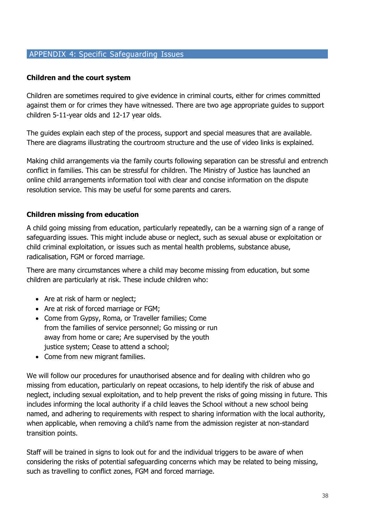## APPENDIX 4: Specific Safeguarding Issues

#### **Children and the court system**

Children are sometimes required to give evidence in criminal courts, either for crimes committed against them or for crimes they have witnessed. There are two age appropriate guides to support children 5-11-year olds and 12-17 year olds.

The guides explain each step of the process, support and special measures that are available. There are diagrams illustrating the courtroom structure and the use of video links is explained.

Making child arrangements via the family courts following separation can be stressful and entrench conflict in families. This can be stressful for children. The Ministry of Justice has launched an online child arrangements information tool with clear and concise information on the dispute resolution service. This may be useful for some parents and carers.

## **Children missing from education**

A child going missing from education, particularly repeatedly, can be a warning sign of a range of safeguarding issues. This might include abuse or neglect, such as sexual abuse or exploitation or child criminal exploitation, or issues such as mental health problems, substance abuse, radicalisation, FGM or forced marriage.

There are many circumstances where a child may become missing from education, but some children are particularly at risk. These include children who:

- Are at risk of harm or neglect;
- Are at risk of forced marriage or FGM;
- Come from Gypsy, Roma, or Traveller families; Come from the families of service personnel; Go missing or run away from home or care; Are supervised by the youth justice system; Cease to attend a school;
- Come from new migrant families.

We will follow our procedures for unauthorised absence and for dealing with children who go missing from education, particularly on repeat occasions, to help identify the risk of abuse and neglect, including sexual exploitation, and to help prevent the risks of going missing in future. This includes informing the local authority if a child leaves the School without a new school being named, and adhering to requirements with respect to sharing information with the local authority, when applicable, when removing a child's name from the admission register at non-standard transition points.

Staff will be trained in signs to look out for and the individual triggers to be aware of when considering the risks of potential safeguarding concerns which may be related to being missing, such as travelling to conflict zones, FGM and forced marriage.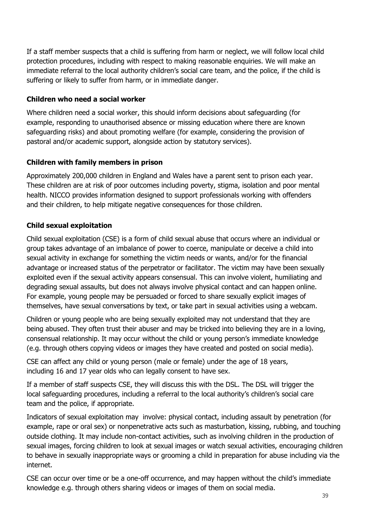If a staff member suspects that a child is suffering from harm or neglect, we will follow local child protection procedures, including with respect to making reasonable enquiries. We will make an immediate referral to the local authority children's social care team, and the police, if the child is suffering or likely to suffer from harm, or in immediate danger.

## **Children who need a social worker**

Where children need a social worker, this should inform decisions about safeguarding (for example, responding to unauthorised absence or missing education where there are known safeguarding risks) and about promoting welfare (for example, considering the provision of pastoral and/or academic support, alongside action by statutory services).

## **Children with family members in prison**

Approximately 200,000 children in England and Wales have a parent sent to prison each year. These children are at risk of poor outcomes including poverty, stigma, isolation and poor mental health. NICCO provides information designed to support professionals working with offenders and their children, to help mitigate negative consequences for those children.

## **Child sexual exploitation**

Child sexual exploitation (CSE) is a form of child sexual abuse that occurs where an individual or group takes advantage of an imbalance of power to coerce, manipulate or deceive a child into sexual activity in exchange for something the victim needs or wants, and/or for the financial advantage or increased status of the perpetrator or facilitator. The victim may have been sexually exploited even if the sexual activity appears consensual. This can involve violent, humiliating and degrading sexual assaults, but does not always involve physical contact and can happen online. For example, young people may be persuaded or forced to share sexually explicit images of themselves, have sexual conversations by text, or take part in sexual activities using a webcam.

Children or young people who are being sexually exploited may not understand that they are being abused. They often trust their abuser and may be tricked into believing they are in a loving, consensual relationship. It may occur without the child or young person's immediate knowledge (e.g. through others copying videos or images they have created and posted on social media).

CSE can affect any child or young person (male or female) under the age of 18 years, including 16 and 17 year olds who can legally consent to have sex.

If a member of staff suspects CSE, they will discuss this with the DSL. The DSL will trigger the local safeguarding procedures, including a referral to the local authority's children's social care team and the police, if appropriate.

Indicators of sexual exploitation may involve: physical contact, including assault by penetration (for example, rape or oral sex) or nonpenetrative acts such as masturbation, kissing, rubbing, and touching outside clothing. It may include non-contact activities, such as involving children in the production of sexual images, forcing children to look at sexual images or watch sexual activities, encouraging children to behave in sexually inappropriate ways or grooming a child in preparation for abuse including via the internet.

CSE can occur over time or be a one-off occurrence, and may happen without the child's immediate knowledge e.g. through others sharing videos or images of them on social media.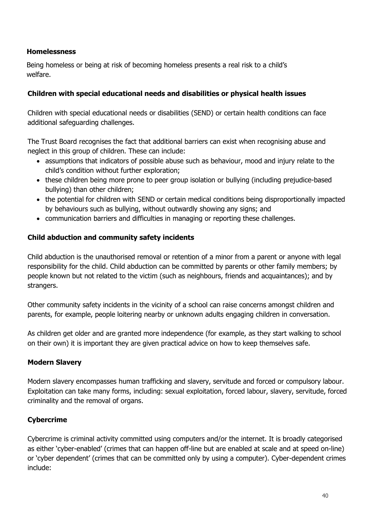## **Homelessness**

Being homeless or being at risk of becoming homeless presents a real risk to a child's welfare.

## **Children with special educational needs and disabilities or physical health issues**

Children with special educational needs or disabilities (SEND) or certain health conditions can face additional safeguarding challenges.

The Trust Board recognises the fact that additional barriers can exist when recognising abuse and neglect in this group of children. These can include:

- assumptions that indicators of possible abuse such as behaviour, mood and injury relate to the child's condition without further exploration;
- these children being more prone to peer group isolation or bullying (including prejudice-based bullying) than other children;
- the potential for children with SEND or certain medical conditions being disproportionally impacted by behaviours such as bullying, without outwardly showing any signs; and
- communication barriers and difficulties in managing or reporting these challenges.

## **Child abduction and community safety incidents**

Child abduction is the unauthorised removal or retention of a minor from a parent or anyone with legal responsibility for the child. Child abduction can be committed by parents or other family members; by people known but not related to the victim (such as neighbours, friends and acquaintances); and by strangers.

Other community safety incidents in the vicinity of a school can raise concerns amongst children and parents, for example, people loitering nearby or unknown adults engaging children in conversation.

As children get older and are granted more independence (for example, as they start walking to school on their own) it is important they are given practical advice on how to keep themselves safe.

## **Modern Slavery**

Modern slavery encompasses human trafficking and slavery, servitude and forced or compulsory labour. Exploitation can take many forms, including: sexual exploitation, forced labour, slavery, servitude, forced criminality and the removal of organs.

## **Cybercrime**

Cybercrime is criminal activity committed using computers and/or the internet. It is broadly categorised as either 'cyber-enabled' (crimes that can happen off-line but are enabled at scale and at speed on-line) or 'cyber dependent' (crimes that can be committed only by using a computer). Cyber-dependent crimes include: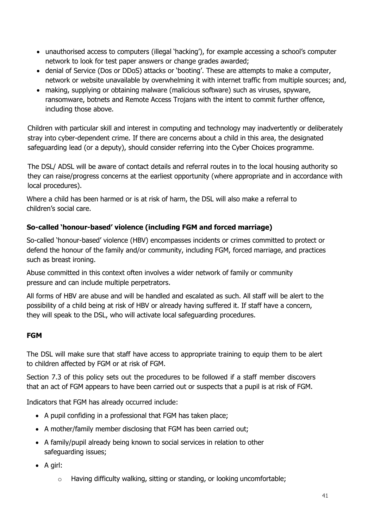- unauthorised access to computers (illegal 'hacking'), for example accessing a school's computer network to look for test paper answers or change grades awarded;
- denial of Service (Dos or DDoS) attacks or 'booting'. These are attempts to make a computer, network or website unavailable by overwhelming it with internet traffic from multiple sources; and,
- making, supplying or obtaining malware (malicious software) such as viruses, spyware, ransomware, botnets and Remote Access Trojans with the intent to commit further offence, including those above.

Children with particular skill and interest in computing and technology may inadvertently or deliberately stray into cyber-dependent crime. If there are concerns about a child in this area, the designated safeguarding lead (or a deputy), should consider referring into the Cyber Choices programme.

The DSL/ ADSL will be aware of contact details and referral routes in to the local housing authority so they can raise/progress concerns at the earliest opportunity (where appropriate and in accordance with local procedures).

Where a child has been harmed or is at risk of harm, the DSL will also make a referral to children's social care.

# **So-called 'honour-based' violence (including FGM and forced marriage)**

So-called 'honour-based' violence (HBV) encompasses incidents or crimes committed to protect or defend the honour of the family and/or community, including FGM, forced marriage, and practices such as breast ironing.

Abuse committed in this context often involves a wider network of family or community pressure and can include multiple perpetrators.

All forms of HBV are abuse and will be handled and escalated as such. All staff will be alert to the possibility of a child being at risk of HBV or already having suffered it. If staff have a concern, they will speak to the DSL, who will activate local safeguarding procedures.

# **FGM**

The DSL will make sure that staff have access to appropriate training to equip them to be alert to children affected by FGM or at risk of FGM.

Section 7.3 of this policy sets out the procedures to be followed if a staff member discovers that an act of FGM appears to have been carried out or suspects that a pupil is at risk of FGM.

Indicators that FGM has already occurred include:

- A pupil confiding in a professional that FGM has taken place;
- A mother/family member disclosing that FGM has been carried out;
- A family/pupil already being known to social services in relation to other safeguarding issues;
- $\bullet$  A girl:
	- o Having difficulty walking, sitting or standing, or looking uncomfortable;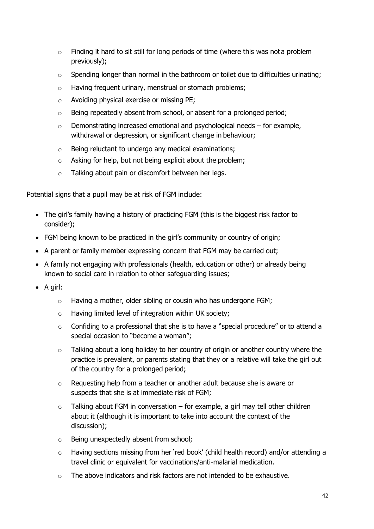- $\circ$  Finding it hard to sit still for long periods of time (where this was not a problem previously);
- $\circ$  Spending longer than normal in the bathroom or toilet due to difficulties urinating;
- o Having frequent urinary, menstrual or stomach problems;
- o Avoiding physical exercise or missing PE;
- o Being repeatedly absent from school, or absent for a prolonged period;
- o Demonstrating increased emotional and psychological needs for example, withdrawal or depression, or significant change in behaviour;
- o Being reluctant to undergo any medical examinations;
- o Asking for help, but not being explicit about the problem;
- o Talking about pain or discomfort between her legs.

Potential signs that a pupil may be at risk of FGM include:

- The girl's family having a history of practicing FGM (this is the biggest risk factor to consider);
- FGM being known to be practiced in the girl's community or country of origin;
- A parent or family member expressing concern that FGM may be carried out;
- A family not engaging with professionals (health, education or other) or already being known to social care in relation to other safeguarding issues;
- $\bullet$  A girl:
	- o Having a mother, older sibling or cousin who has undergone FGM;
	- o Having limited level of integration within UK society;
	- o Confiding to a professional that she is to have a "special procedure" or to attend a special occasion to "become a woman";
	- o Talking about a long holiday to her country of origin or another country where the practice is prevalent, or parents stating that they or a relative will take the girl out of the country for a prolonged period;
	- o Requesting help from a teacher or another adult because she is aware or suspects that she is at immediate risk of FGM;
	- $\circ$  Talking about FGM in conversation for example, a girl may tell other children about it (although it is important to take into account the context of the discussion);
	- o Being unexpectedly absent from school;
	- o Having sections missing from her 'red book' (child health record) and/or attending a travel clinic or equivalent for vaccinations/anti-malarial medication.
	- $\circ$  The above indicators and risk factors are not intended to be exhaustive.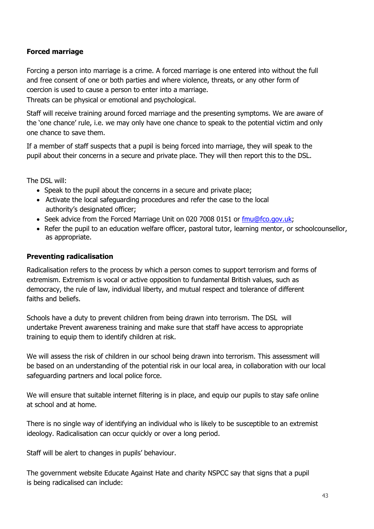## **Forced marriage**

Forcing a person into marriage is a crime. A forced marriage is one entered into without the full and free consent of one or both parties and where violence, threats, or any other form of coercion is used to cause a person to enter into a marriage.

Threats can be physical or emotional and psychological.

Staff will receive training around forced marriage and the presenting symptoms. We are aware of the 'one chance' rule, i.e. we may only have one chance to speak to the potential victim and only one chance to save them.

If a member of staff suspects that a pupil is being forced into marriage, they will speak to the pupil about their concerns in a secure and private place. They will then report this to the DSL.

The DSL will:

- Speak to the pupil about the concerns in a secure and private place;
- Activate the local safeguarding procedures and refer the case to the local authority's designated officer;
- Seek advice from the Forced Marriage Unit on 020 7008 0151 or [fmu@fco.gov.uk;](mailto:fmu@fco.gov.uk)
- Refer the pupil to an education welfare officer, pastoral tutor, learning mentor, or schoolcounsellor, as appropriate.

## **Preventing radicalisation**

Radicalisation refers to the process by which a person comes to support terrorism and forms of extremism. Extremism is vocal or active opposition to fundamental British values, such as democracy, the rule of law, individual liberty, and mutual respect and tolerance of different faiths and beliefs.

Schools have a duty to prevent children from being drawn into terrorism. The DSL will undertake Prevent awareness training and make sure that staff have access to appropriate training to equip them to identify children at risk.

We will assess the risk of children in our school being drawn into terrorism. This assessment will be based on an understanding of the potential risk in our local area, in collaboration with our local safeguarding partners and local police force.

We will ensure that suitable internet filtering is in place, and equip our pupils to stay safe online at school and at home.

There is no single way of identifying an individual who is likely to be susceptible to an extremist ideology. Radicalisation can occur quickly or over a long period.

Staff will be alert to changes in pupils' behaviour.

The government website [Educate Against Hate a](http://educateagainsthate.com/parents/what-are-the-warning-signs/)nd charity [NSPCC s](https://www.nspcc.org.uk/what-you-can-do/report-abuse/dedicated-helplines/protecting-children-from-radicalisation/)ay that signs that a pupil is being radicalised can include: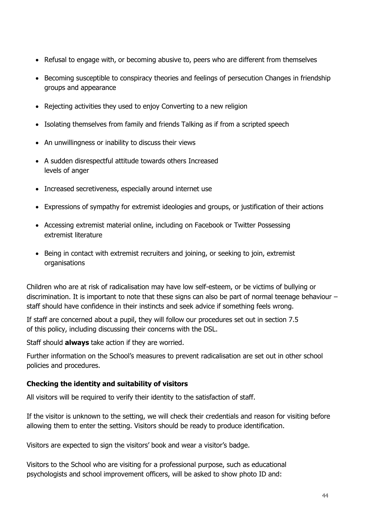- Refusal to engage with, or becoming abusive to, peers who are different from themselves
- Becoming susceptible to conspiracy theories and feelings of persecution Changes in friendship groups and appearance
- Rejecting activities they used to enjoy Converting to a new religion
- Isolating themselves from family and friends Talking as if from a scripted speech
- An unwillingness or inability to discuss their views
- A sudden disrespectful attitude towards others Increased levels of anger
- Increased secretiveness, especially around internet use
- Expressions of sympathy for extremist ideologies and groups, or justification of their actions
- Accessing extremist material online, including on Facebook or Twitter Possessing extremist literature
- Being in contact with extremist recruiters and joining, or seeking to join, extremist organisations

Children who are at risk of radicalisation may have low self-esteem, or be victims of bullying or discrimination. It is important to note that these signs can also be part of normal teenage behaviour – staff should have confidence in their instincts and seek advice if something feels wrong.

If staff are concerned about a pupil, they will follow our procedures set out in section 7.5 of this policy, including discussing their concerns with the DSL.

Staff should **always** take action if they are worried.

Further information on the School's measures to prevent radicalisation are set out in other school policies and procedures.

## **Checking the identity and suitability of visitors**

All visitors will be required to verify their identity to the satisfaction of staff.

If the visitor is unknown to the setting, we will check their credentials and reason for visiting before allowing them to enter the setting. Visitors should be ready to produce identification.

Visitors are expected to sign the visitors' book and wear a visitor's badge.

Visitors to the School who are visiting for a professional purpose, such as educational psychologists and school improvement officers, will be asked to show photo ID and: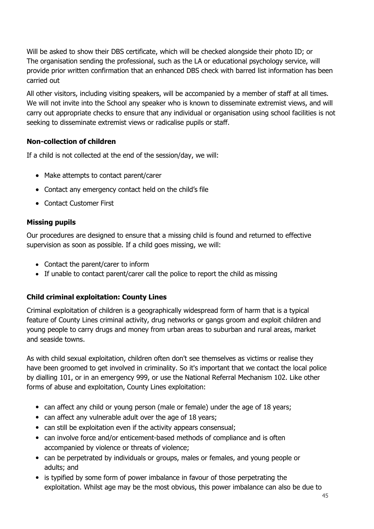Will be asked to show their DBS certificate, which will be checked alongside their photo ID; or The organisation sending the professional, such as the LA or educational psychology service, will provide prior written confirmation that an enhanced DBS check with barred list information has been carried out

All other visitors, including visiting speakers, will be accompanied by a member of staff at all times. We will not invite into the School any speaker who is known to disseminate extremist views, and will carry out appropriate checks to ensure that any individual or organisation using school facilities is not seeking to disseminate extremist views or radicalise pupils or staff.

## **Non-collection of children**

If a child is not collected at the end of the session/day, we will:

- Make attempts to contact parent/carer
- Contact any emergency contact held on the child's file
- Contact Customer First

## **Missing pupils**

Our procedures are designed to ensure that a missing child is found and returned to effective supervision as soon as possible. If a child goes missing, we will:

- Contact the parent/carer to inform
- If unable to contact parent/carer call the police to report the child as missing

## **Child criminal exploitation: County Lines**

Criminal exploitation of children is a geographically widespread form of harm that is a typical feature of County Lines criminal activity, drug networks or gangs groom and exploit children and young people to carry drugs and money from urban areas to suburban and rural areas, market and seaside towns.

As with child sexual exploitation, children often don't see themselves as victims or realise they have been groomed to get involved in criminality. So it's important that we contact the local police by dialling 101, or in an emergency 999, or use the National Referral Mechanism 102. Like other forms of abuse and exploitation, County Lines exploitation:

- can affect any child or young person (male or female) under the age of 18 years;
- can affect any vulnerable adult over the age of 18 years;
- can still be exploitation even if the activity appears consensual;
- can involve force and/or enticement-based methods of compliance and is often accompanied by violence or threats of violence;
- can be perpetrated by individuals or groups, males or females, and young people or adults; and
- is typified by some form of power imbalance in favour of those perpetrating the exploitation. Whilst age may be the most obvious, this power imbalance can also be due to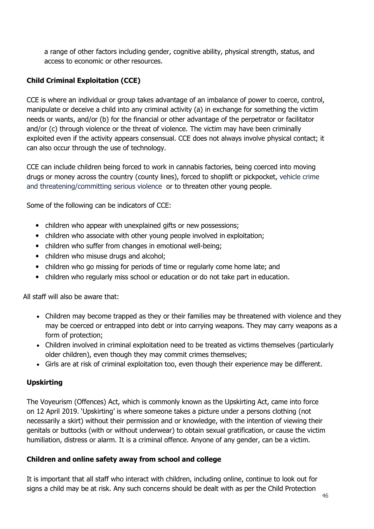a range of other factors including gender, cognitive ability, physical strength, status, and access to economic or other resources.

## **Child Criminal Exploitation (CCE)**

CCE is where an individual or group takes advantage of an imbalance of power to coerce, control, manipulate or deceive a child into any criminal activity (a) in exchange for something the victim needs or wants, and/or (b) for the financial or other advantage of the perpetrator or facilitator and/or (c) through violence or the threat of violence. The victim may have been criminally exploited even if the activity appears consensual. CCE does not always involve physical contact; it can also occur through the use of technology.

CCE can include children being forced to work in cannabis factories, being coerced into moving drugs or money across the country (county lines), forced to shoplift or pickpocket, vehicle crime and threatening/committing serious violence or to threaten other young people.

Some of the following can be indicators of CCE:

- children who appear with unexplained gifts or new possessions;
- children who associate with other young people involved in exploitation;
- children who suffer from changes in emotional well-being;
- children who misuse drugs and alcohol;
- children who go missing for periods of time or regularly come home late; and
- children who regularly miss school or education or do not take part in education.

All staff will also be aware that:

- Children may become trapped as they or their families may be threatened with violence and they may be coerced or entrapped into debt or into carrying weapons. They may carry weapons as a form of protection;
- Children involved in criminal exploitation need to be treated as victims themselves (particularly older children), even though they may commit crimes themselves;
- Girls are at risk of criminal exploitation too, even though their experience may be different.

## **Upskirting**

The Voyeurism (Offences) Act, which is commonly known as the Upskirting Act, came into force on 12 April 2019. 'Upskirting' is where someone takes a picture under a persons clothing (not necessarily a skirt) without their permission and or knowledge, with the intention of viewing their genitals or buttocks (with or without underwear) to obtain sexual gratification, or cause the victim humiliation, distress or alarm. It is a criminal offence. Anyone of any gender, can be a victim.

## **Children and online safety away from school and college**

It is important that all staff who interact with children, including online, continue to look out for signs a child may be at risk. Any such concerns should be dealt with as per the Child Protection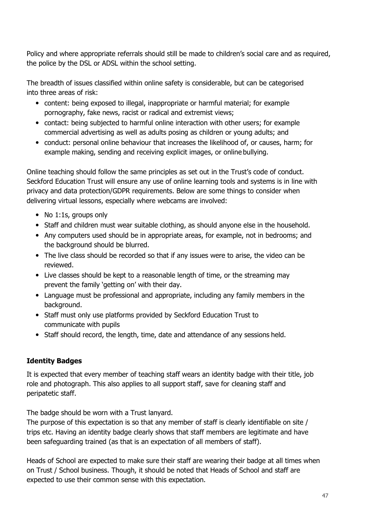Policy and where appropriate referrals should still be made to children's social care and as required, the police by the DSL or ADSL within the school setting.

The breadth of issues classified within online safety is considerable, but can be categorised into three areas of risk:

- content: being exposed to illegal, inappropriate or harmful material; for example pornography, fake news, racist or radical and extremist views;
- contact: being subjected to harmful online interaction with other users; for example commercial advertising as well as adults posing as children or young adults; and
- conduct: personal online behaviour that increases the likelihood of, or causes, harm; for example making, sending and receiving explicit images, or online bullying.

Online teaching should follow the same principles as set out in the Trust's code of conduct. Seckford Education Trust will ensure any use of online learning tools and systems is in line with privacy and data protection/GDPR requirements. Below are some things to consider when delivering virtual lessons, especially where webcams are involved:

- No 1:1s, groups only
- Staff and children must wear suitable clothing, as should anyone else in the household.
- Any computers used should be in appropriate areas, for example, not in bedrooms; and the background should be blurred.
- The live class should be recorded so that if any issues were to arise, the video can be reviewed.
- Live classes should be kept to a reasonable length of time, or the streaming may prevent the family 'getting on' with their day.
- Language must be professional and appropriate, including any family members in the background.
- Staff must only use platforms provided by Seckford Education Trust to communicate with pupils
- Staff should record, the length, time, date and attendance of any sessions held.

## **Identity Badges**

It is expected that every member of teaching staff wears an identity badge with their title, job role and photograph. This also applies to all support staff, save for cleaning staff and peripatetic staff.

The badge should be worn with a Trust lanyard.

The purpose of this expectation is so that any member of staff is clearly identifiable on site / trips etc. Having an identity badge clearly shows that staff members are legitimate and have been safeguarding trained (as that is an expectation of all members of staff).

Heads of School are expected to make sure their staff are wearing their badge at all times when on Trust / School business. Though, it should be noted that Heads of School and staff are expected to use their common sense with this expectation.